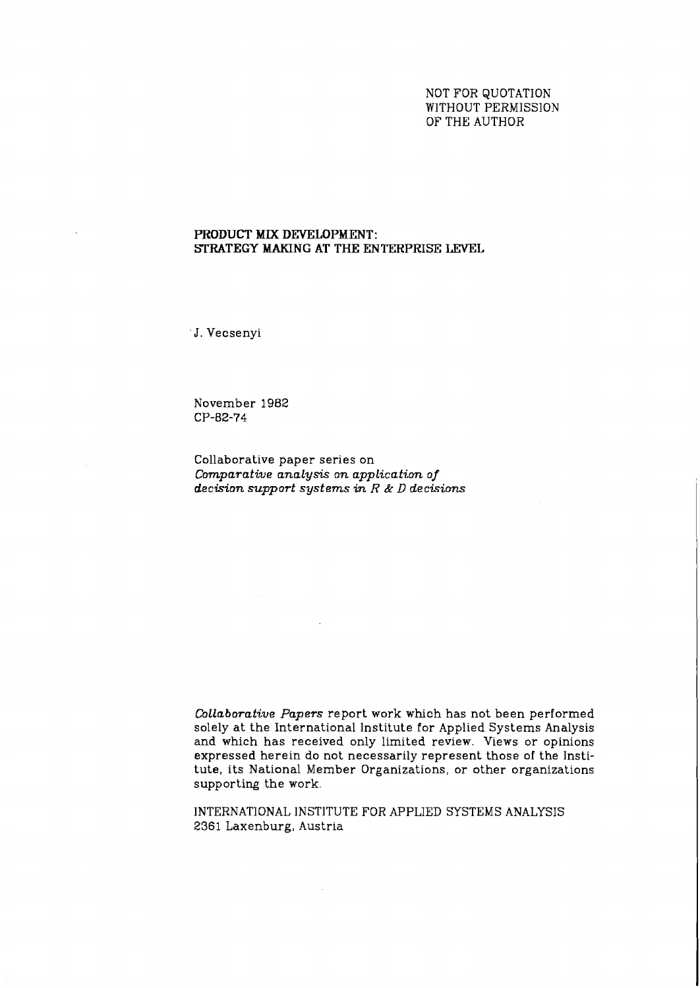## NOT FOR QUOTATION WITHOUT PERMISSION OF THE AUTHOR

## **PRODUCT MIX DENELOPMENT: ETRATEGY MAKING AT THE** ENTERPRISE **LFVEL**

' J. Vecsenyi

November 1982 CP-82-74

Collaborative paper series on *Comparative analysis on application of decision support systems in R* & **D** *decisions* 

*Collaborative Papers* report work which has not been performed solely at the International Institute for Applied Systems Analysis and which has received only limited review. Views or opinions expressed herein do not necessarily represent those of the Institute, its National Member Organizations, or other organizations supporting the work.

INTERNATIONAL INSTITUTE FOR APPLIED SYSTEMS ANALYSIS 2361 Laxenburg, Austria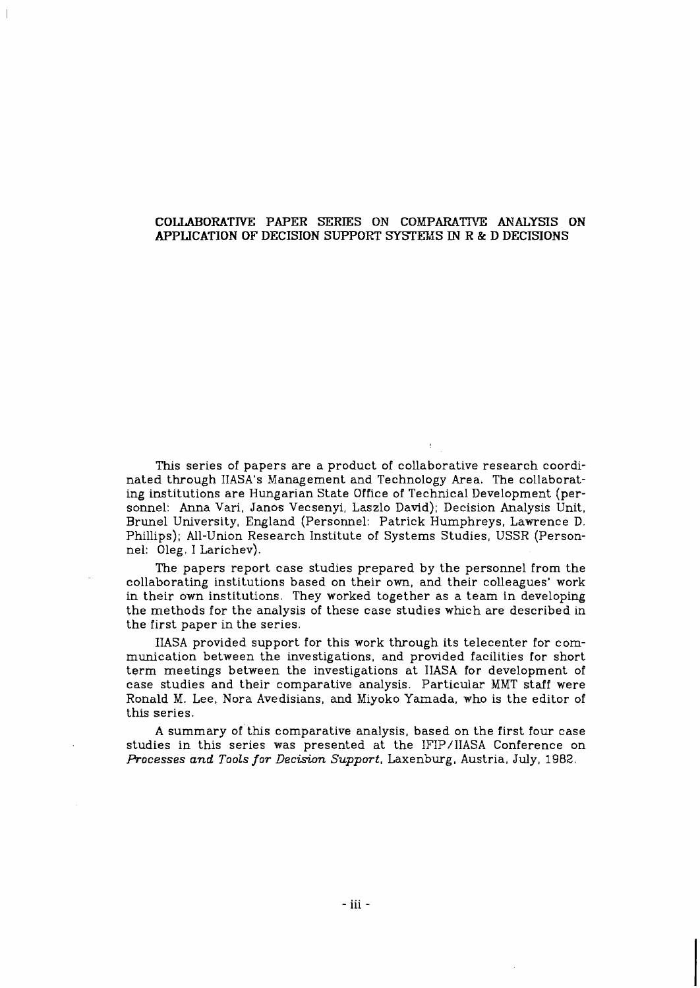## COLLABORATIVE PAPER SERIES ON COMPARATIVE ANALYSIS ON APPLICATION OF DECISION SUPPORT SYSTEMS IN R & D DECISIONS

This series of papers are a product of collaborative research coordinated through IIASA's Management and Technology Area. The collaborating institutions are Hungarian State Office of Technical Development (personnel: Anna Vari, Janos Vecsenyi, Laszlo David); Decision Analysis Unit, Brunel University, England (Personnel: Patrick Humphreys, Lawrence D. Phillips); All-Union Research Institute of Systems Studies, USSR (Personnel: Oleg. I Larichev).

The papers report case studies prepared by the personnel from the collaborating institutions based on their own, and their colleagues' work in their own institutions. They worked together as a team in developing the methods for the analysis of these case studies whch are described in the first paper in the series.

IIASA provided support for this work through its telecenter for cornmunication between the investigations, and provided facilities for short term meetings between the investigations at IIASA for development of case studies and their comparative analysis. Particular MMT staff were Ronald M. Lee, Nora Avedisians, and Miyoko Yamada, who is the editor of this series.

**A** summary of this comparative analysis, based on the first four case studies in this series was presented at the IFIP/IIASA Conference on *Processes* and *Tools for Decision Support,* Laxenburg, Austria, July, 1982.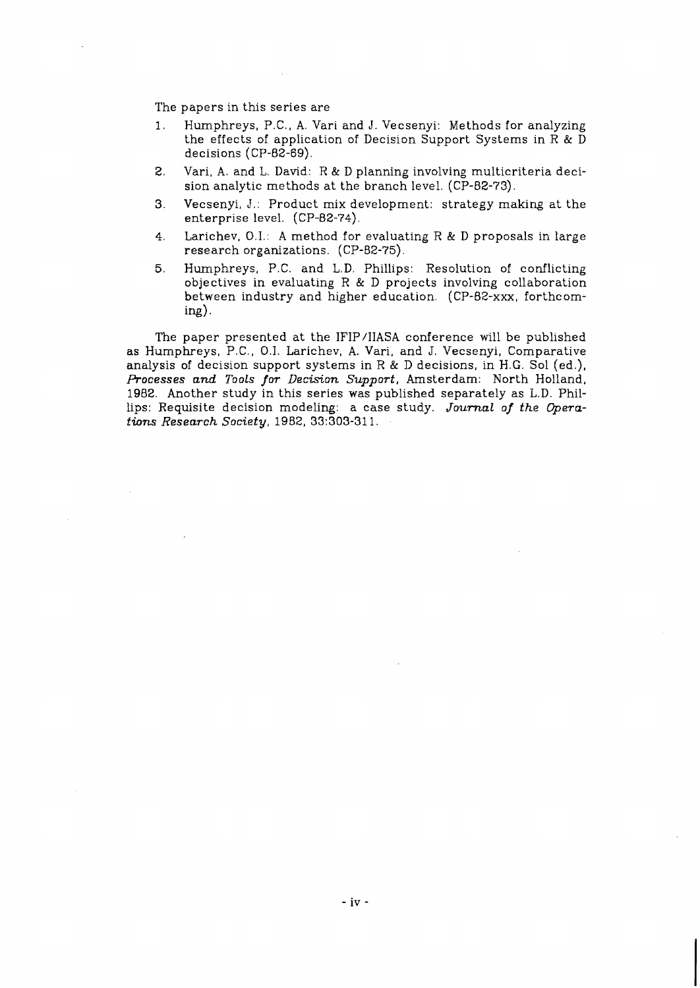The papers in this series are

- 1. Humphreys, P.C., A. Vari and J. Vecsenyi: Methods for analyzing the effects of application of Decision Support Systems in R & D decisions (CP-82-69).
- 2. Vari, A. and L. David: R & D planning involving multicriteria decision analytic methods at the branch level. (CP-82-73).
- **3.** Vecsenyi, J.: Product mix development: strategy making at the enterprise level. (CP-82-74).
- 4. Larichev, 0.1.: A method for evaluating R & D proposals in large research organizations. (CP-82-75).
- 5. Humphreys, P.C. and L.D. Phillips: Resolution of conflicting objectives in evaluating  $R \& D$  projects involving collaboration between industry and higher education. (CP-82-xxx, forthcoming).

The paper presented at the IFIP/IIASA conference will be published as Humphreys, P.C., 0.1. Larichev, A. Vari, and J. Vecsenyi, Comparative analysis of decision support systems in R & D decisions, in H.G. Sol (ed.), *Processes and Tools for Decision Support,* Amsterdam: North Holland, 1982. Another study in this series was published separately as L.D. Phillips: Requisite decision modeling: a case study. *Journal of the @erations Research Society, 1982, 33:303-311.*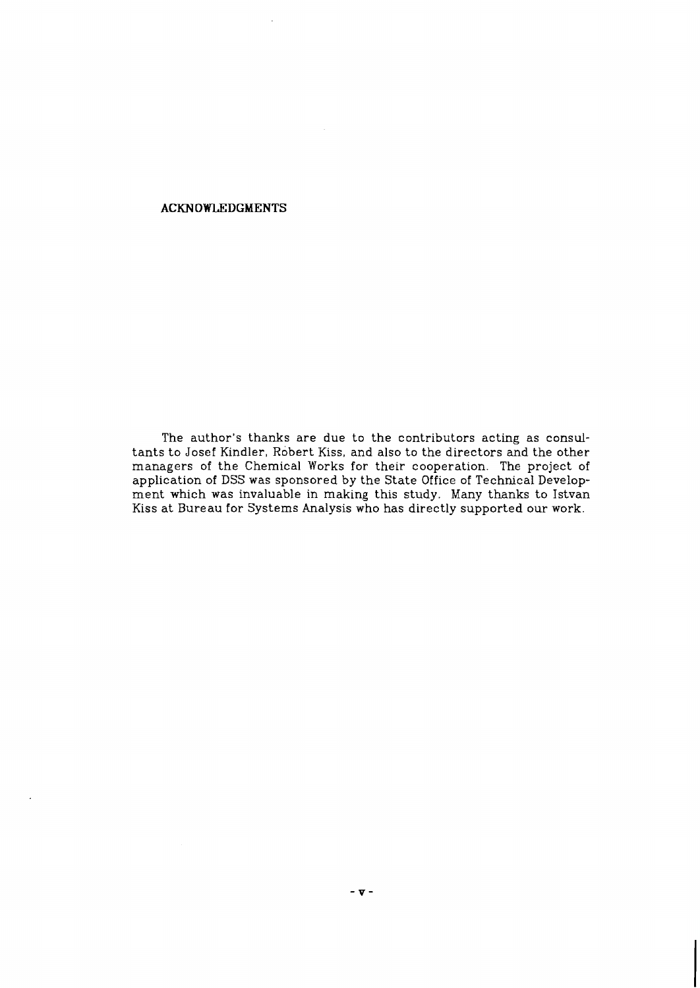## **ACKNOWLEDGMENTS**

The author's thanks are due to the contributors acting as consultants to Josef Kindler, Robert Kiss, and also to the directors and the other managers of the Chemical Works for their cooperation. The project of application of DSS was sponsored by the State Office of Technical Development which was invaluable in making this study. Many thanks to Istvan Kiss at Bureau for Systems Analysis who has directly supported our work.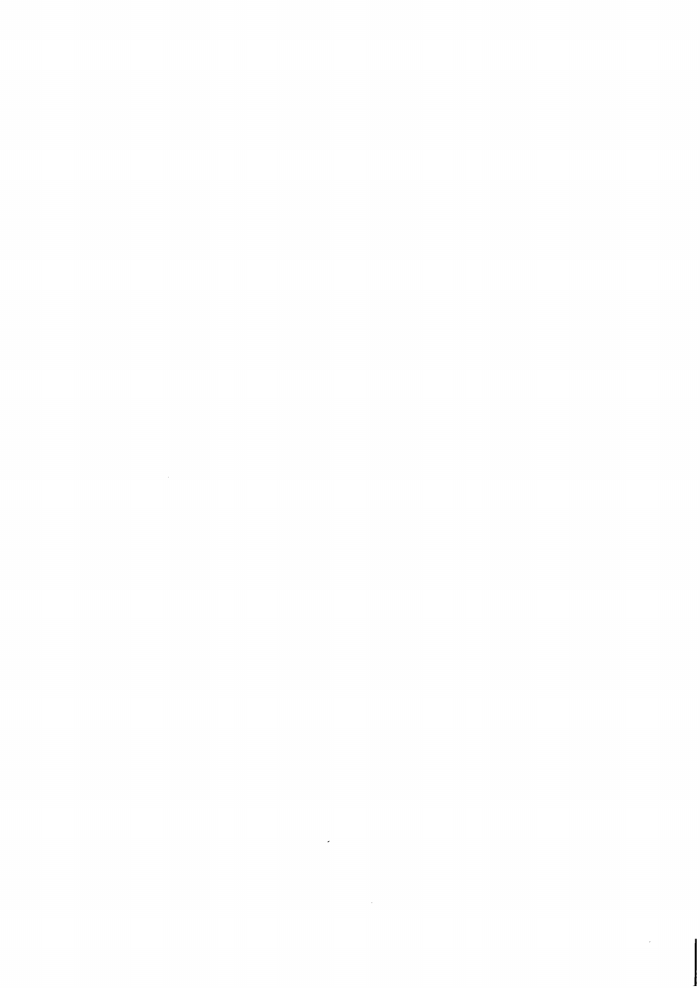$\label{eq:2.1} \frac{1}{\sqrt{2}}\int_{\mathbb{R}^3}\frac{1}{\sqrt{2}}\left(\frac{1}{\sqrt{2}}\right)^2\frac{1}{\sqrt{2}}\left(\frac{1}{\sqrt{2}}\right)^2\frac{1}{\sqrt{2}}\left(\frac{1}{\sqrt{2}}\right)^2\frac{1}{\sqrt{2}}\left(\frac{1}{\sqrt{2}}\right)^2.$ 

 $\label{eq:2} \frac{1}{\sqrt{2}}\int_{0}^{\infty}\frac{1}{\sqrt{2}}\left(\frac{1}{\sqrt{2}}\right)^{2}d\theta.$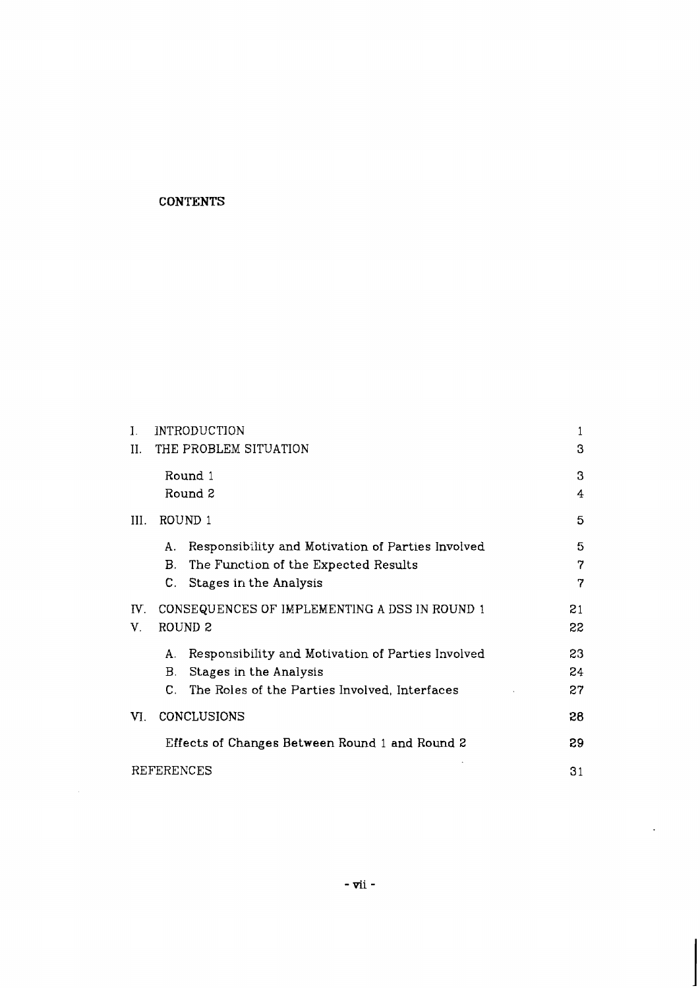# **CONTENTS**

 $\sim 30$ 

| L   | <b>INTRODUCTION</b> |                                                   |    |  |  |
|-----|---------------------|---------------------------------------------------|----|--|--|
| II. |                     | THE PROBLEM SITUATION                             | 3  |  |  |
|     |                     | Round 1                                           | 3  |  |  |
|     | Round 2             |                                                   |    |  |  |
| Ш.  | ROUND 1             | 5                                                 |    |  |  |
|     | А.                  | Responsibility and Motivation of Parties Involved | 5  |  |  |
|     | В.                  | The Function of the Expected Results              | 7  |  |  |
|     | C.                  | Stages in the Analysis                            | 7  |  |  |
| IV. |                     | CONSEQUENCES OF IMPLEMENTING A DSS IN ROUND 1     | 21 |  |  |
| V.  | ROUND <sub>2</sub>  |                                                   |    |  |  |
|     | А.                  | Responsibility and Motivation of Parties Involved | 23 |  |  |
|     | В.                  | Stages in the Analysis                            | 24 |  |  |
|     | C.                  | The Roles of the Parties Involved, Interfaces     | 27 |  |  |
| ਯੁ  |                     | CONCLUSIONS                                       | 28 |  |  |
|     |                     | Effects of Changes Between Round 1 and Round 2    | 29 |  |  |
|     |                     | REFERENCES                                        | 31 |  |  |

 $\boldsymbol{\cdot}$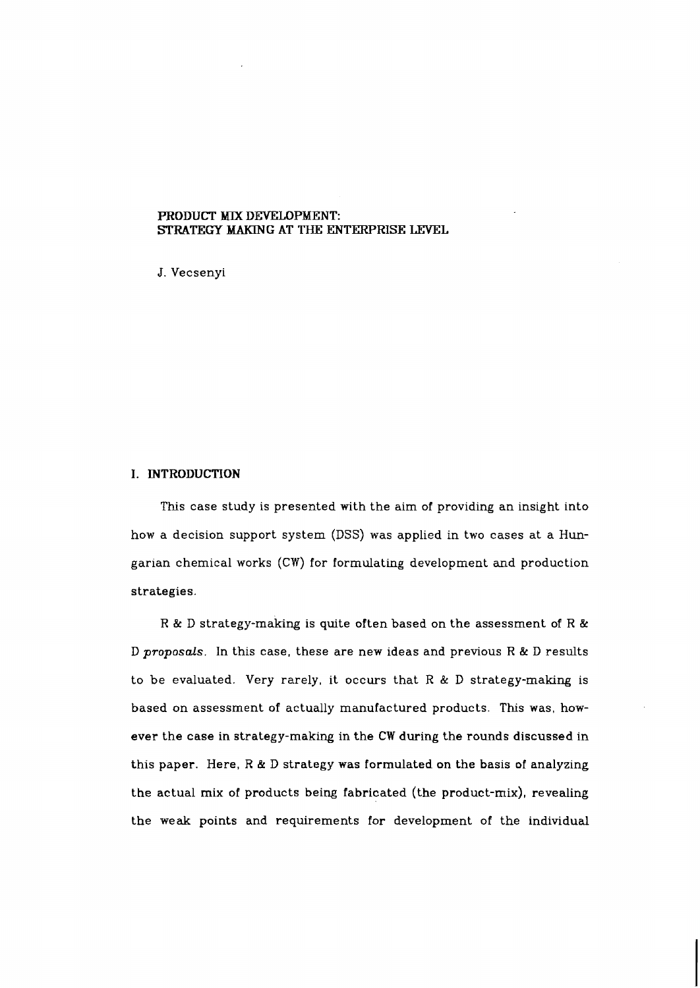### **PRODUCT MIX DEVELOPMENT: STRATEGY MAKING AT THE ENTERPRISE LEVEL**

J. Vecsenyi

## **I. INTRODUCTION**

This case study is presented with the aim of providing an insight into how a decision support system **(DSS)** was applied in two cases at a Hungarian chemical works (CW) for formulating development and production strategies.

**R** & **D** strategy-making is quite often based on the assessment of R & **D proposals.** In this case, these are new ideas and previous R & **D** results to be evaluated. Very rarely, it occurs that  $R & D$  strategy-making is based on assessment of actually manufactured products. This was, however the case in strategy-making in the CW during the rounds discussed in this paper. Here, R & D strategy was formulated on the basis of analyzing the actual mix of products being fabricated (the product-mix), revealing the weak points and requirements for development of the individual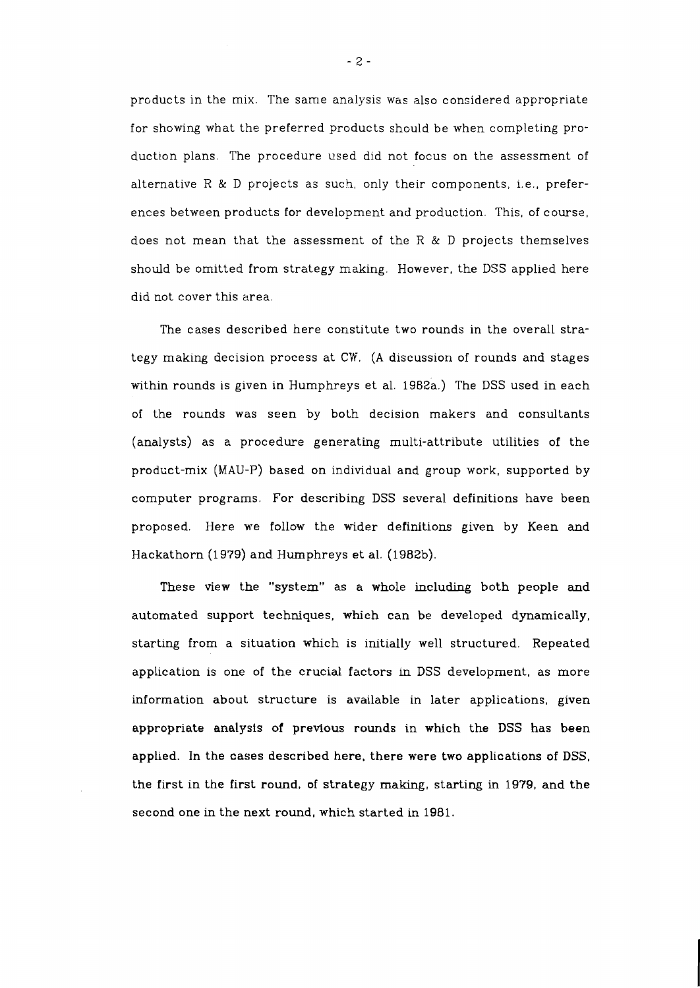products in the mix. The same analysis was also considered appropriate for showing what the preferred products should be when completing production plans. The procedure used did not focus on the assessment of alternative  $R \& D$  projects as such, only their components, i.e., preferences between products for development and production. This, of course, does not mean that the assessment of the R  $\&$  D projects themselves should be omitted from strategy making. However, the DSS applied here did not cover this area.

The cases described here constitute two rounds in the overall strategy making decision process at **CW. (A** discussion of rounds and stages within rounds is given in Humphreys et al. 1982a.) The DSS used in each of the rounds was seen by both decision makers and consultants (analysts) as a procedure generating multi-attribute utilities of the product-mix (MAU-P) based on individual and group work, supported by computer programs. For describing DSS several definitions have been proposed. Here we follow the wider definitions given by Keen and Hackathorn (1979) and Humphreys et al. (1982b).

These view the "system" as a whole including both people and automated support techniques, which can be developed dynamically, starting from a situation which is initially well structured. Repeated application is one of the crucial factors in DSS development, as more information about structure is available in later applications, given appropriate analgsis of prevlous rounds in which the **DSS** has been applied. In the cases described here, there were two applications of **DSS,**  the first in the first round, of strategy making, starting in 1979, and the second one in the next round, which started in 1981.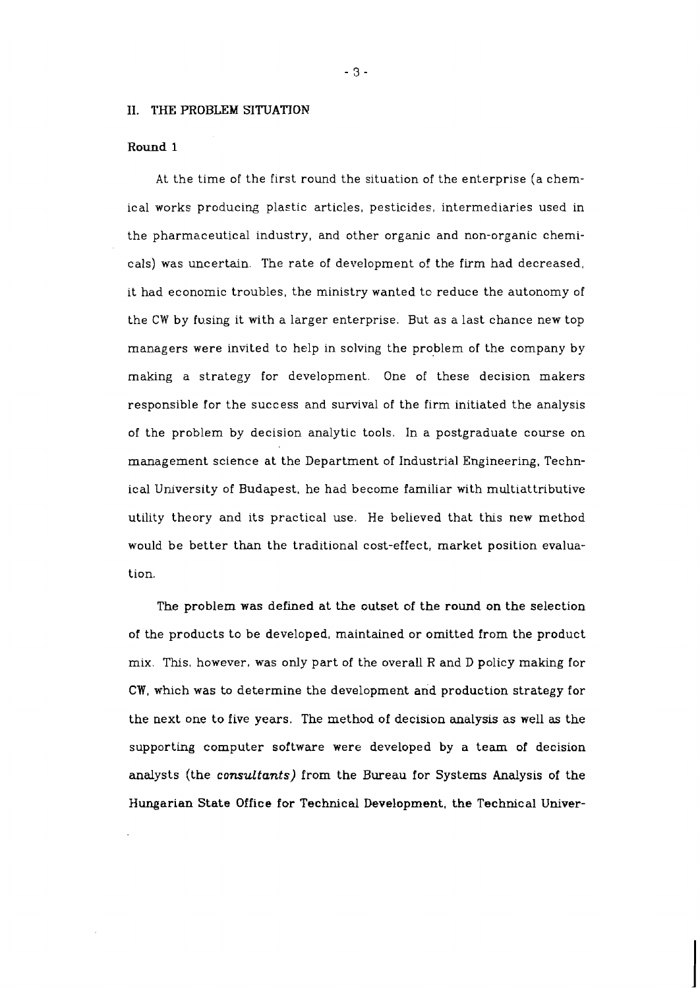#### **11. THE PROBLEM SITUATION**

### Round 1

At the time of the first round the situation of the enterprise (a chemical works producing plastic articles, pesticides, intermediaries used in the pharmaceutical industry, and other organic and non-organic chemicals) was uncertain. The rate of development of the firm had decreased, it had economic troubles, the ministry wanted to reduce the autonomy of the CW by fusing it with a larger enterprise. But as a last chance new top managers were invited to help in solving the problem of the company by making a strategy for development. One of these decision makers responsible for the success and survival of the firm initiated the analysis of the problem by decision analytic tools. In a postgraduate course on management science at the Department of Industrial Engineering, Technical University of Budapest, he had become familiar with multiattributive utility theory and its practical use. He believed that ths new method would be better than the traditional cost-effect, market position evaluation.

The problem was defined at the outset of the round on the selection of the products to be developed, maintained or omitted from the product mix. This, however, was only part of the overall R and D policy making for CW, which was to determine the development and production strategy for the next one to five years. The method of decision analysis as well as the supporting computer software were developed by a team of decision analysts (the **consultants)** from the Bureau for Systems Analysis of the Hungarian State Office for Technical Development, the Technical Univer-

 $-3-$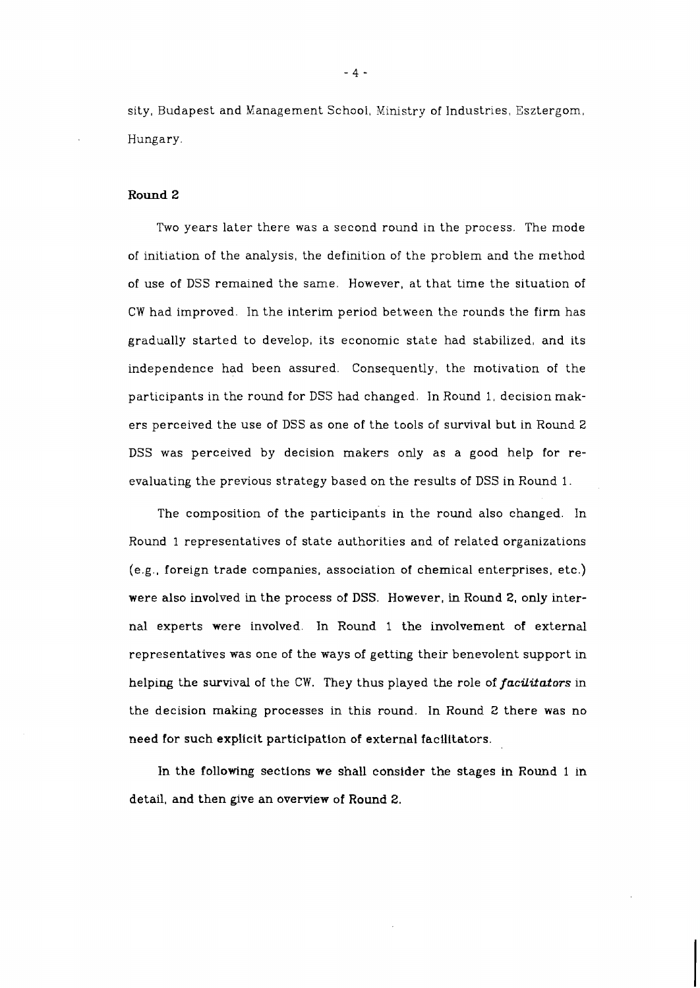sity, Budapest and Management School, Ministry of Industries, Esztergom, Hungary.

#### Round 2

Two years later there was a second round in the process. The mode of initiation of the analysis, the definition of the problem and the method of use of DSS remained the same. However, at that time the situation of CW had improved. In the interim period between the rounds the firm has gradually started to develop, its economic state had stabilized, and its independence had been assured. Consequently, the motivation of the participants in the round for DSS had changed. In Round 1, decision makers perceived the use of DSS as one of the tools of survival but in Round 2 DSS was perceived by decision makers only as a good help for reevaluating the previous strategy based on the results of DSS in Round 1.

The composition of the participants in the round also changed. In Round 1 representatives of state authorities and of related organizations (e.g., foreign trade companies, association of chemical enterprises, etc.) were also involved in the process of **DSS.** However, in Round 2, only internal experts were involved. In Round 1 the involvement of external representatives was one of the ways of getting their benevolent support in helping the survival of the CW. They thus played the role of *faciliiators* in the decision making processes in this round. In Round 2 there was no need for such explicit participation of external facilitators.

In the following sections we shall consider the stages in Round 1 in detail, and then give an overview of Round 2.

 $-4-$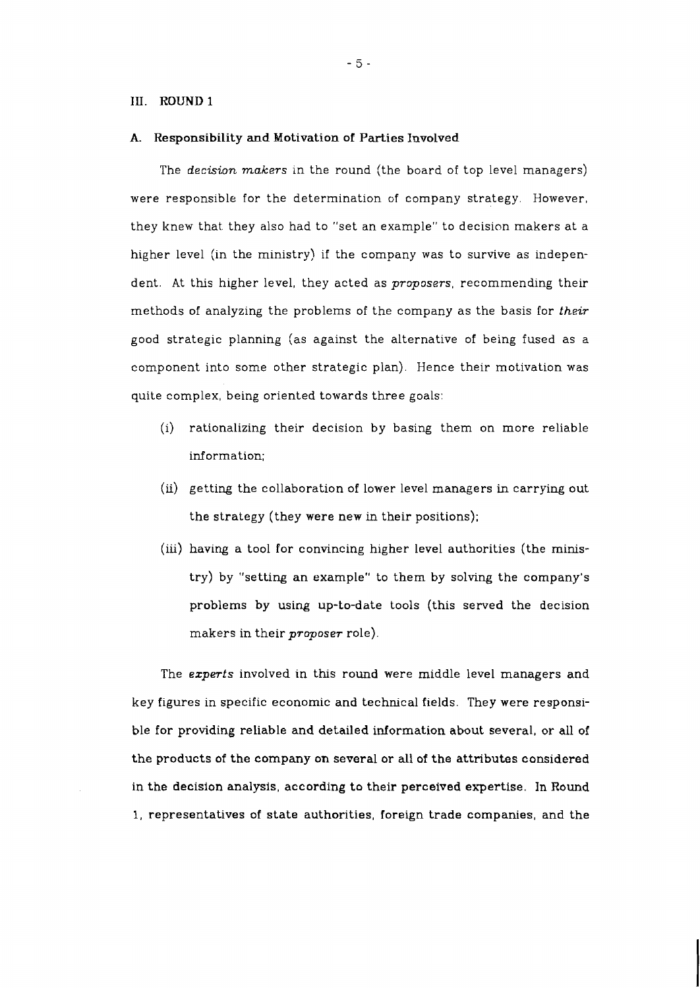## **III. ROUND 1**

### A. Responsibility and Motivation of Parties Involved

The *decision makers* in the round (the board of top level managers) were responsible for the determination of company strategy. However, they knew that. they also had to "set an example" to decision makers at a higher level (in the ministry) if the company was to survive as independent. At this higher level, they acted as *proposers*, recommending their methods of analyzing the problems of the company as the basis for *their*  good strategic planning (as against the alternative of being fused as a component into some other strategic plan). Hence their motivation was quite complex, being oriented towards three goals:

- (i) rationalizing their decision by basing them on more reliable information;
- (ii) getting the collaboration of lower level managers in carrying out the strategy (they were new in their positions);
- (iii) having a tool for convincing higher level authorities (the ministry) by "setting an example" to them by solving the company's problems by using up-to-date tools (this served the decision makers in their *proposer* role).

The *experts* involved in this round were middle level managers and key figures in specific economic and technical fields. They were responsible for providing reliable and detailed information about several, or all of the products of the company on several or all of the attributes considered in the decision analysis, according to their perceived expertise. In Round 1, representatives of state authorities, foreign trade companies, and the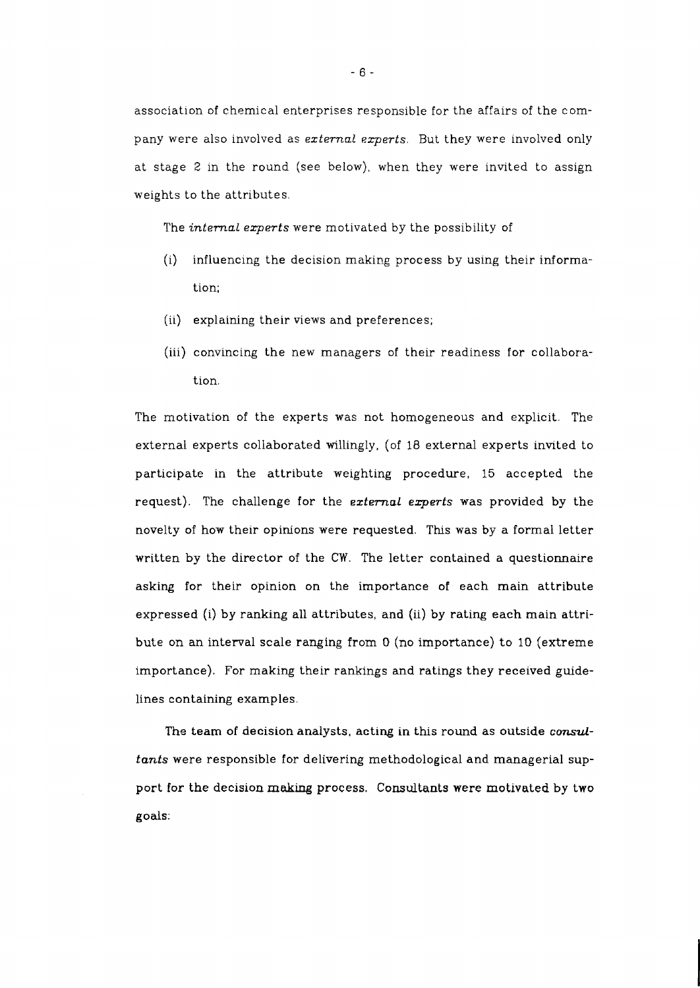association of chemical enterprises responsible for the affairs of the company were also involved as *external experts.* But they were involved only at stage **2** in the round (see below), when they were invited to assign weights to the attributes.

The *internal ezperts* were motivated by the possibility of

- (i) influencing the decision making process by using their information;
- (ii) explaining their views and preferences;
- (iii) convincing the new managers of their readiness for collaboration.

The motivation of the experts was not homogeneous and explicit. The external experts collaborated willingly, (of 18 external experts invited to participate in the attribute weighting procedure, 15 accepted the request). The challenge for the *external ezperts* was provided by the novelty of how their opinions were requested. Ths was by a formal letter written by the director of the CW. The letter contained a questionnaire asking for their opinion on the importance of each main attribute expressed (i) by ranking all attributes, and (ii) by rating each main attribute on an interval scale ranging from 0 (no importance) to 10 (extreme importance). For making their rankings and ratings they received guidelines containing examples.

**The** team of decision analysts, acting in this round as outside *consultants* were responsible for delivering methodological and managerial support for the decision maklng process. Consultants were motivated by two goals: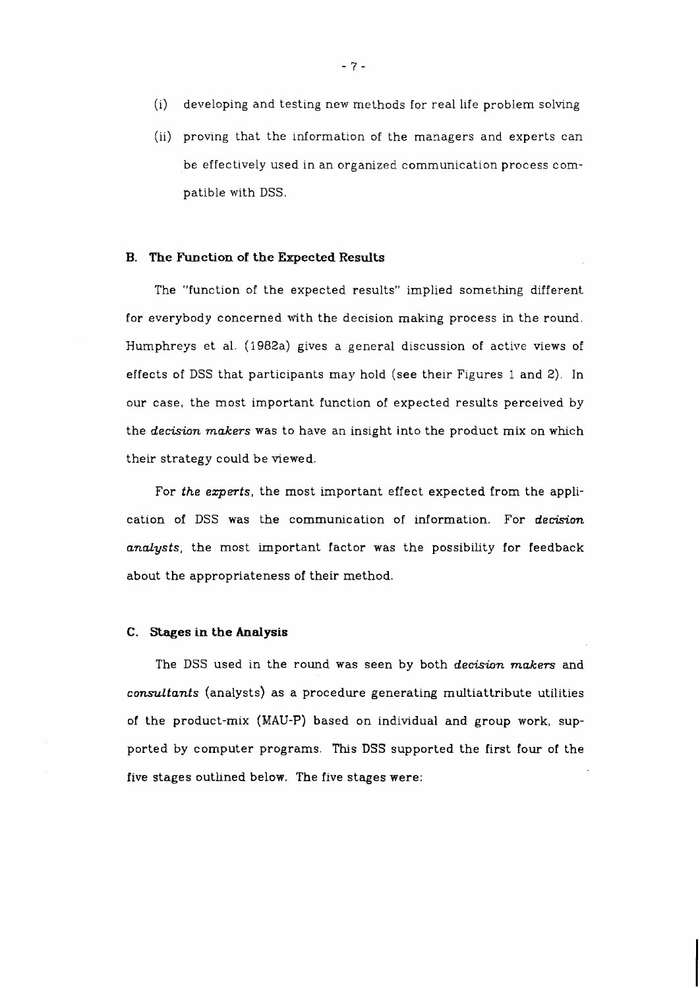- (i) developing and testing new methods for real life problem solving
- (ii) proving that the information of the managers and experts can be effectively used in an organized communication process compatible with DSS.

### **B. The Function of the Expected Results**

The "function of the expected results" implied something different for everybody concerned with the decision making process in the round. Humphreys et al. (1982a) gives a general discussion of active views of effects of DSS that participants map hold (see their Figures 1 and 2). In our case, the most important function of expected results perceived by the *decision makers* was to have an insight into the product mix on whch their strategy could be viewed.

For *the experts*, the most important effect expected from the application of DSS was the communication of information. For *decision analysts,* the most important factor was the possibility for feedback about the appropriateness of their method.

### **C. Stages in the Analysis**

The DSS used in the round was seen by both *decision makers* and *consllltants* (analysts) as a procedure generating multiattribute utilities of the product-mix (MAU-P) based on individual and group work, supported by computer programs. Thls DSS supported the first four of the five stages outlined below. The five stages were: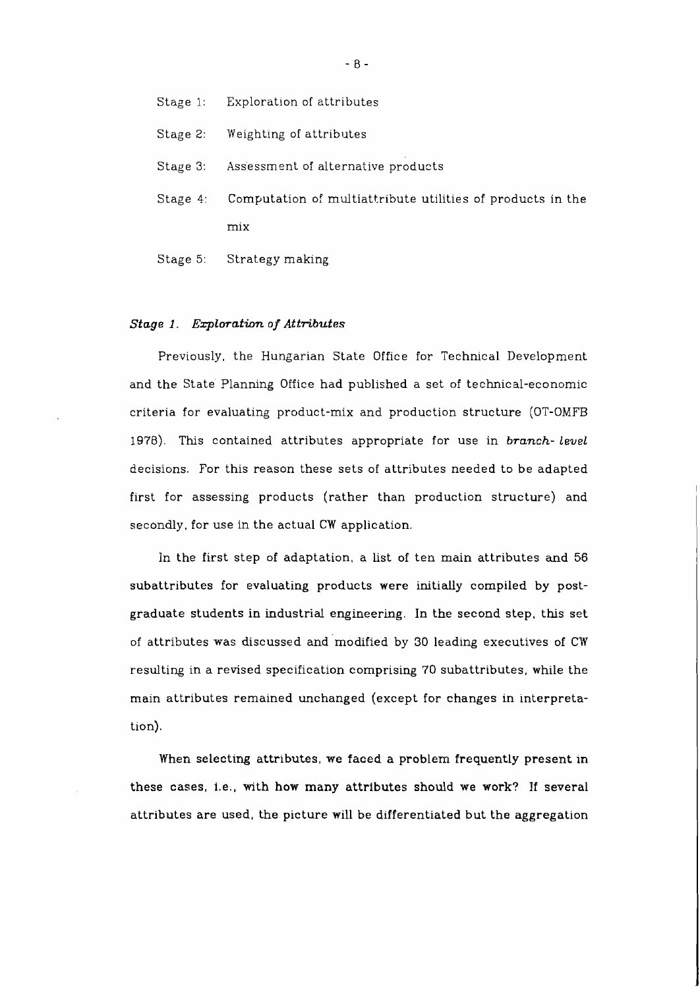- Stage 1: Exploration of attributes
- Stage 2: Weighting of attributes
- Stage 3: Assessment of alternative products
- Stage 4: Computation of multiattribute utilities of products in the mix

Stage 5: Strategy making

## Stage 1. Exploration of Attributes

Previously, the Hungarian State Office for Technical Development and the State' Planning Office had published a set of technical-economic criteria for evaluating product-mix and production structure (OT-OMFB 1978). This contained attributes appropriate for use in branch- level decisions. For this reason these sets of attributes needed to be adapted first for assessing products (rather than production structure) and secondly, for use in the actual CW application.

In the first step of adaptation, a list of ten main attributes and 56 subattributes for evaluating products were initially compiled by postgraduate students in industrial engineering. In the second step, this set of attributes was discussed and 'modified by 30 leading executives of CW resulting in a revised specification comprising 70 subattributes, while the main attributes remained unchanged (except for changes in interpretation).

When selecting attributes, we faced a problem frequently present in these cases, i.e., with how many attributes should we work? If several attributes are used, the picture will be differentiated but the aggregation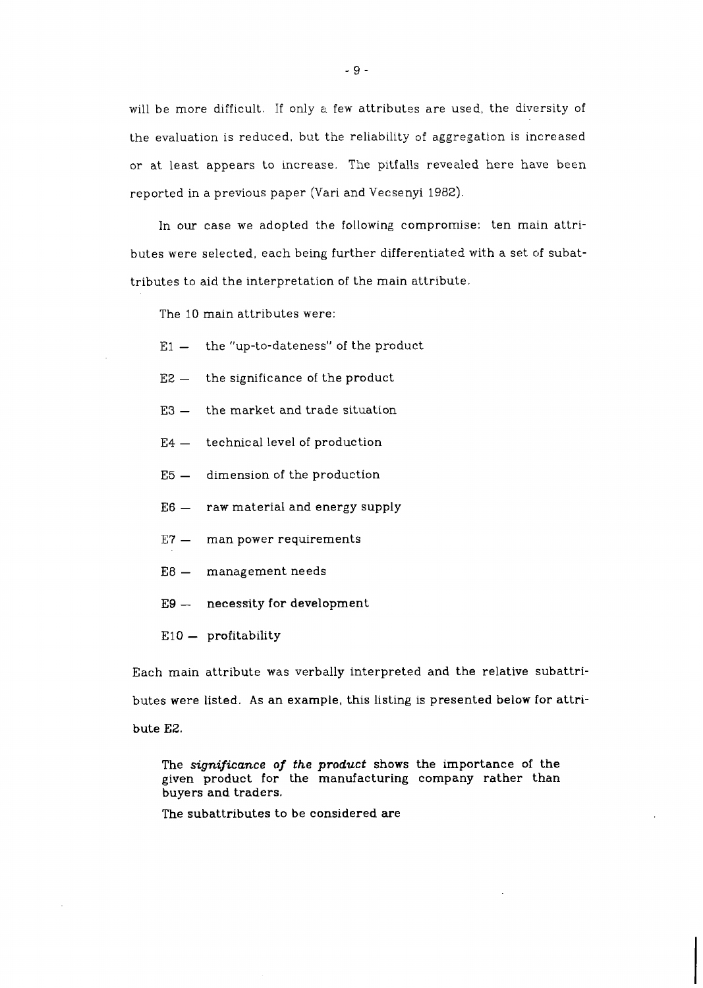will be more difficult. If only a. few attributes are used, the diversity of the evaluation is reduced, but the reliability of aggregation is increased or at least appears to increase. The pitfalls revealed here have been reported in a previous paper (Vari and Vecsenyi 1982).

In our case we adopted the following compromise: ten main attributes were selected, each being further differentiated with a set of subattributes to aid the interpretation of the main attribute.

The 10 main attributes were:

- $E1 -$  the "up-to-dateness" of the product
- $E2 -$  the significance of the product
- $E3 -$  the market and trade situation
- $E4 t$  echnical level of production
- **E5**  dimension of the production
- $E6 -$  raw material and energy supply
- E7 man power requirements
- E8 management needs
- E9 necessity for development
- $E10 -$  profitability

Each main attribute was verbally interpreted and the relative subattributes were listed. As an example, this listing is presented below for attribute **E2.** 

The *significance of the product* shows the importance of the given product for the manufacturing company rather than buyers and traders.

The subattributes to be considered are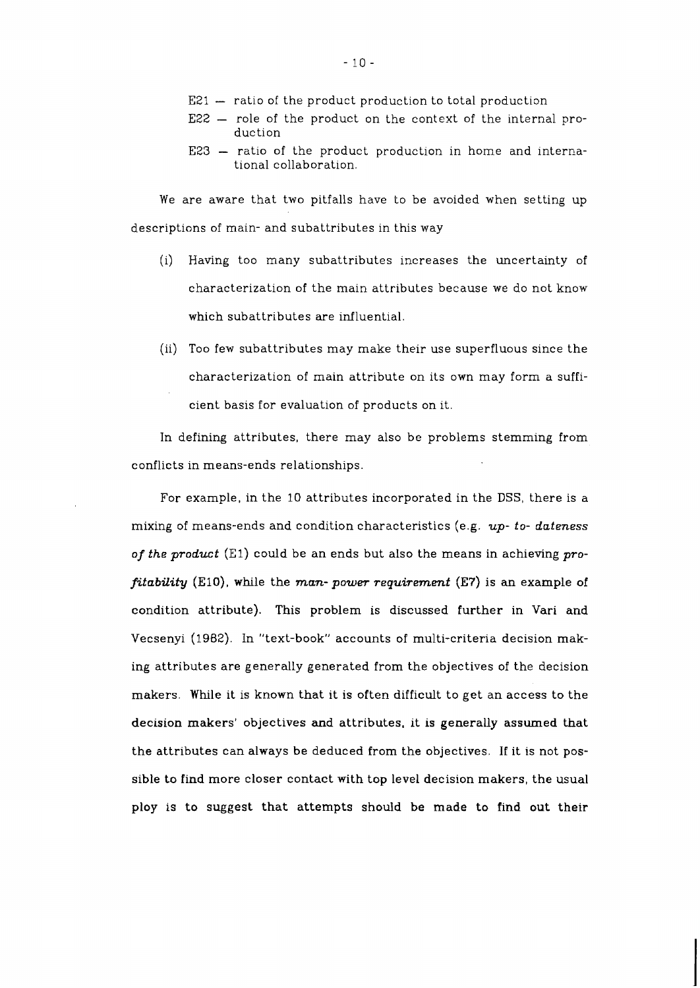- $E21 -$  ratio of the product production to total production
- E22 role of the product on the context of the internal production
- E23 ratio of the product production in home and international collaboration.

We are aware that two pitfalls have to be avoided when setting up descriptions of main- and subattributes in this way

- (i) Having too many subattributes increases the uncertainty of characterization of the main attributes because we do not know which subattributes are influential.
- (ii) Too few subattributes may make their use superfluous since the characterization of main attribute on its own may form a sufficient basis for evaluation of products on it.

In defining attributes, there may also be problems stemming from conflicts in means-ends relationships.

For example, in the 10 attributes incorporated in the **DSS,** there is a mixing of means-ends and condition characteristics (e.g.  $up$ - to- dateness of the product  $(E1)$  could be an ends but also the means in achieving pro*fitability* (E10), while the man- power requirement (E7) is an example of condition attribute). This problem is discussed further in Vari and Vecsenyi (1982). In "text-book" accounts of multi-criteria decision making attributes are generally generated from the objectives of the decision makers. Whlle it is known that it is often difficult to get an access to the decision makers' objectives and attributes, it is generally assumed that the attributes can always be deduced from the objectives. If it is not possible to find more closer contact with top level decision makers, the usual ploy is to suggest that attempts should be made to find out their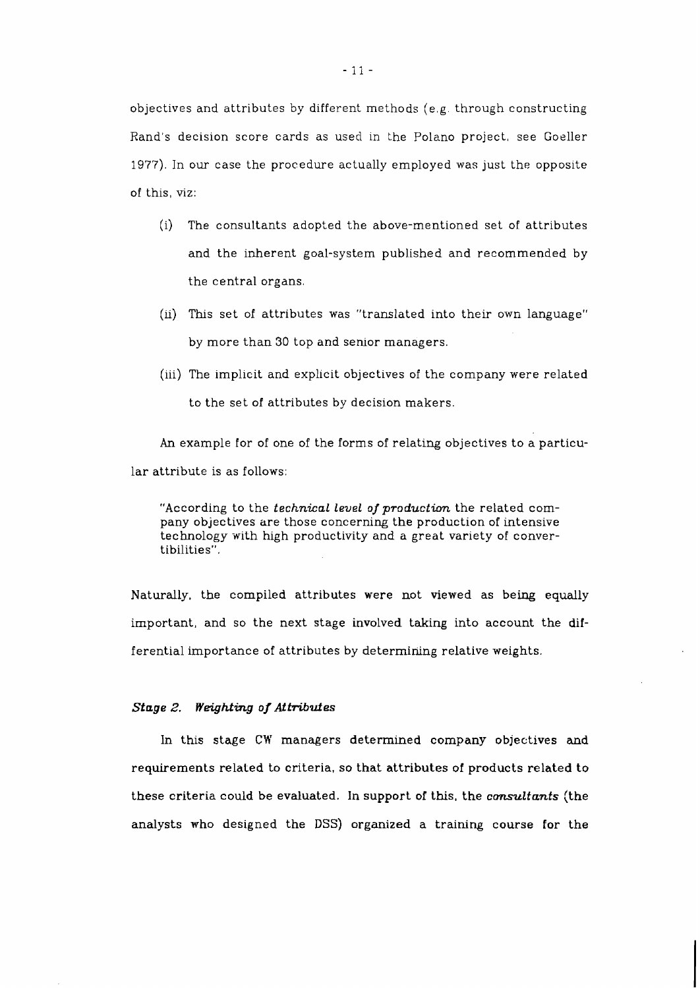objectives and attributes by different methods (e.g. through constructing Rand's decision score cards as used in the Polano project, see Goeller 1977). In our case the procedure actually employed was just the opposite of this, viz:

- (i) The consultants adopted the above-mentioned set of attributes and the inherent goal-system published and recommended by the central organs.
- (ii) This set of attributes was "translated into their own language" by more than 30 top and senior managers.
- (iii) The implicit and explicit objectives of the company were related to the set of attributes by decision makers.

An example for of one of the forms of relating objectives to a particular attribute is as follows:

"According to the *technical level* of *production* the related company objectives are those concerning the production of intensive technology with hgh productivity and a great variety of convertibilities".

Naturally, the compiled attributes were not viewed as being equally important, and so the next stage involved taking into account the differential importance of attributes by determining relative weights.

#### **Stage 2. Weighting of** *Attributes*

In this stage CW managers determined company objectives and requirements related to criteria, so that attributes of products related to these criteria could be evaluated. In support of this, the *consultants* (the analysts who designed the DSS) organized a training course for the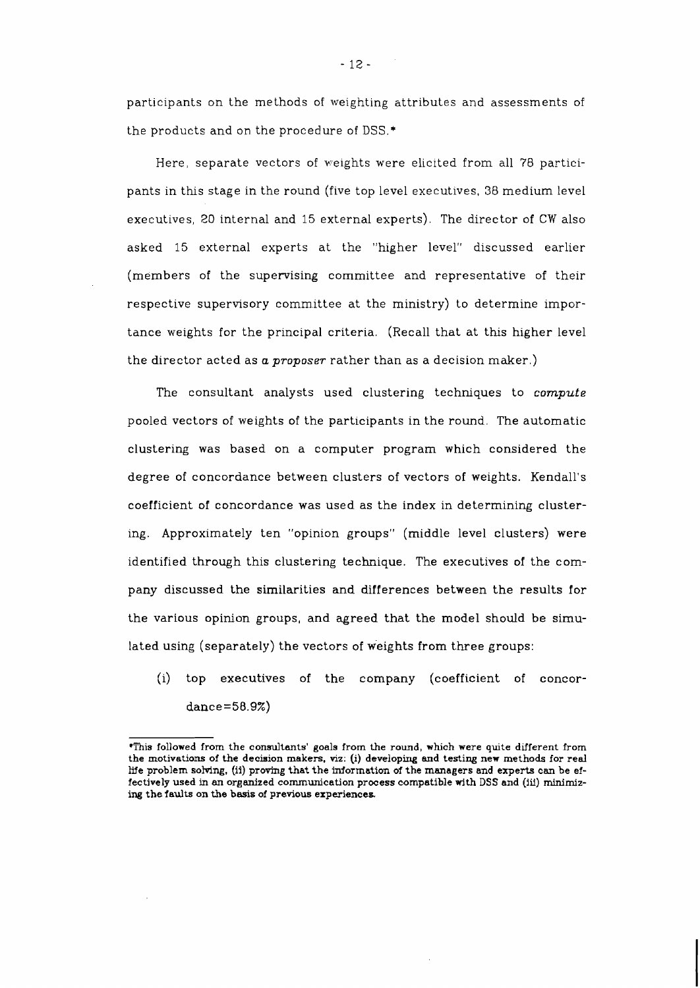participants on the methods of weighting attributes and assessments of the products and on the procedure of DSS.\*

Here, separate vectors of weights were elicited from all 78 participants in ths stage in the round (five top level executives, 38 medium level executives, 20 internal and 15 external experts). The director of CW also asked 15 external experts at the "higher level" discussed earlier (members of the supervising committee and representative of their respective supervisory committee at the ministry) to determine importance weights for the principal criteria. (Recall that at this higher level the director acted as a *proposer* rather than as a decision maker.)

The consultant analysts used clustering techniques to *compute*  pooled vectors of weights of the participants in the round. The automatic clustering was based on a computer program which considered the degree of concordance between clusters of vectors of weights. Kendall's coefficient of concordance was used as the index in determining clustering. Approximately ten "opinion groups" (middle level clusters) were identified through this clustering technique. The executives of the company discussed the similarities and differences between the results for the various opinion groups, and agreed that the model should be simulated using (separately) the vectors of weights from three groups:

(i) top executives of the company (coefficient of concordance=58.9%)

**<sup>\*</sup>This followed from the consultants' goels from the round, which were quite different from the motivations of the decision makers, viz: (1) developing and testing new methods for real**  life problem solving, (ii) proving that the information of the managers and experts can be ef**fectively used in an organized communication process compatible with DSS and** (id) **minimizing the faults on the basis of previous experiences**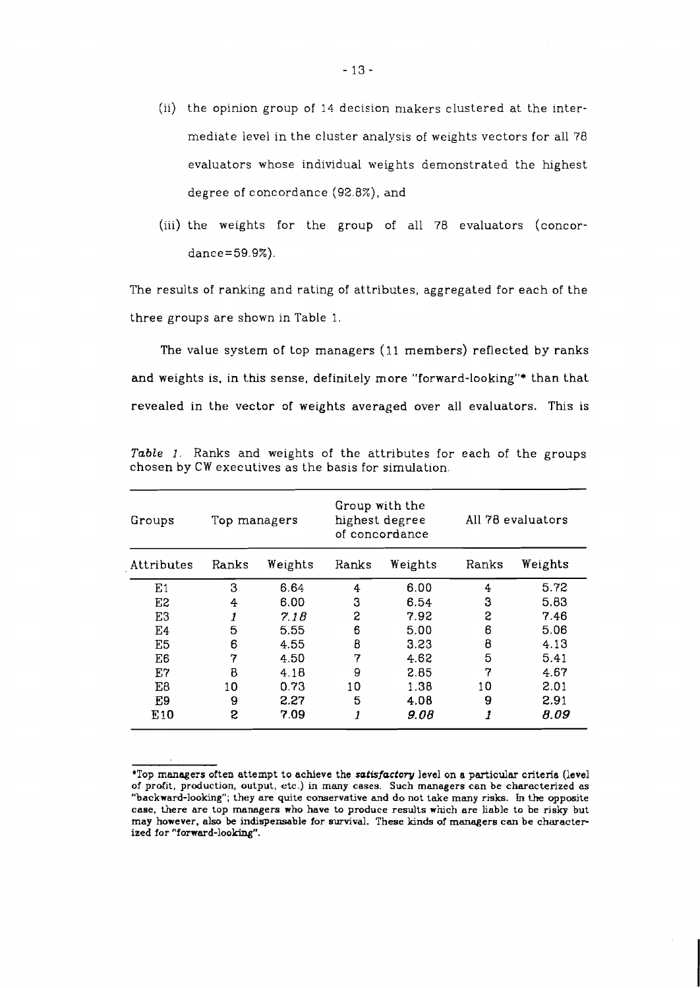- (ii) the opinion group of I4 decision makers clustered at the intermediate level in the cluster analysis of weights vectors for all 78 evaluators whose individual weights demonstrated the highest degree of concordance (92.8%), and
- (iii) the weights for the group of all 78 evaluators (concordance=59.9%).

The results of ranking and rating of attributes, aggregated for each of the three groups are shown in Table 1.

The value system of top managers **(11** members) reflected by ranks and weights is, in this sense, definitely more "forward-looking"\* than that revealed in the vector of weights averaged over all evaluators. This is

| Groups          | Top managers |         | Group with the | highest degree<br>of concordance | All 78 evaluators |         |  |
|-----------------|--------------|---------|----------------|----------------------------------|-------------------|---------|--|
| Attributes      | Ranks        | Weights | Ranks          | Weights                          | Ranks             | Weights |  |
| E1              | 3            | 6.64    | 4              | 6.00                             | 4                 | 5.72    |  |
| E2              | 4            | 6.00    | 3              | 6.54                             | 3                 | 5.83    |  |
| E3              |              | 7.18    | 2              | 7.92                             | S                 | 7.46    |  |
| E4              | 5            | 5.55    | 6              | 5.00                             | 6                 | 5.06    |  |
| E <sub>5</sub>  | 6            | 4.55    | 8              | 3.23                             | 8                 | 4.13    |  |
| E6              | 7            | 4.50    | 7              | 4.62                             | 5                 | 5.41    |  |
| E7              | B            | 4.18    | 9              | 2.85                             | 7                 | 4.67    |  |
| EΒ              | 10           | 0.73    | 10             | 1.38                             | 10                | 2.01    |  |
| E9              | 9            | 2.27    | 5              | 4.08                             | 9                 | 2.91    |  |
| E <sub>10</sub> | 2            | 7.09    |                | 9.0B                             |                   | 8.09    |  |

*Table* 1. Ranks and weights of the attributes for each of the groups chosen by CW executives as the basis for simulation.

<sup>\*</sup>Top managers often attempt to achieve the **satisfactory** level on a particular criteria (level of profit, prduction, output, etc.) in **many** cases. Such managers can be characterized as "backward-looking"; they are quite conservative and do not take many risks. **Jn** the opposite case, there are top managers who have to produce results w'nich are liable to be risky but may however, also be indispensable for survival. These kinds of managers can be character ized for "forward-looking".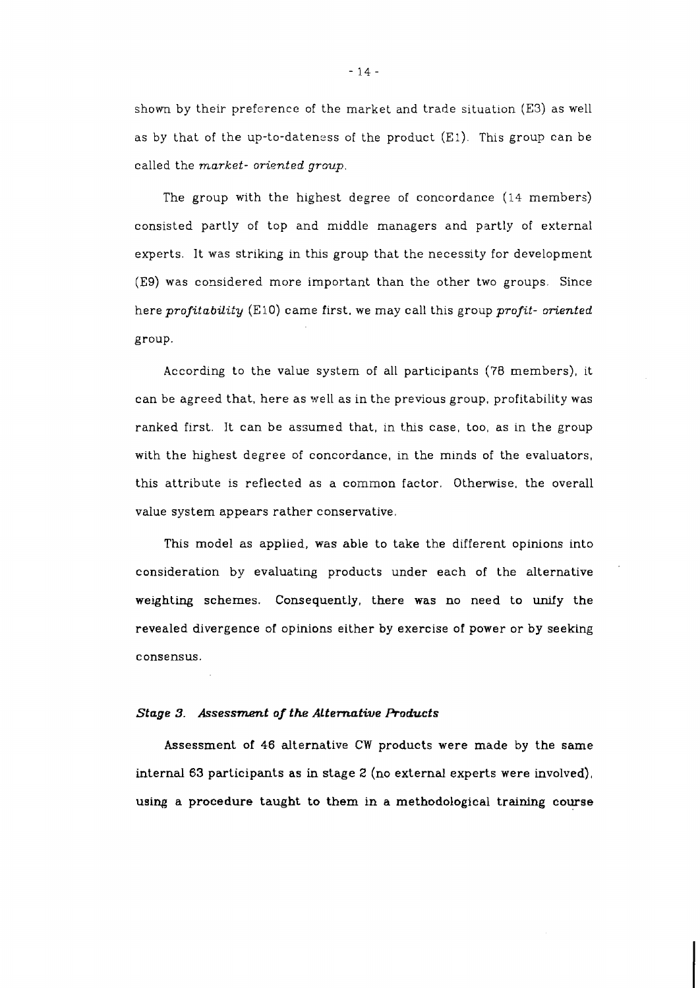shown by their preference of the market and trade situation (E3) as well as by that of the up-to-dateness of the product (El). This group can be called the market- oriented group.

The group with the highest degree of concordance (14 members) consisted partly of top and middle managers and partly of external experts. It was striking in this group that the necessity for development (E9) was considered more important than the other two groups. Since here  $profitability$  (E10) came first, we may call this group profit- oriented group.

According to the value system of all participants (78 members), it can be agreed that, here as well as in the previous group, profitability was ranked first. It can be assumed that, in this case, too, as in the group with the highest degree of concordance, in the minds of the evaluators, this attribute is reflected as a common factor. Otherwise, the overall value system appears rather conservative.

This model as applied, was able to take the different opinions into consideration by evaluating products under each of the alternative weighting schemes. Consequently, there was no need to unify the revealed divergence of opinions either by exercise of power or by seeking consensus.

### **Stage 3.** Assessment of the Alternative Products

Assessment of 46 alternative CW products were made by the same internal 63 participants as in stage 2 (no external experts were involved), using a procedure taught to them in a methodological training course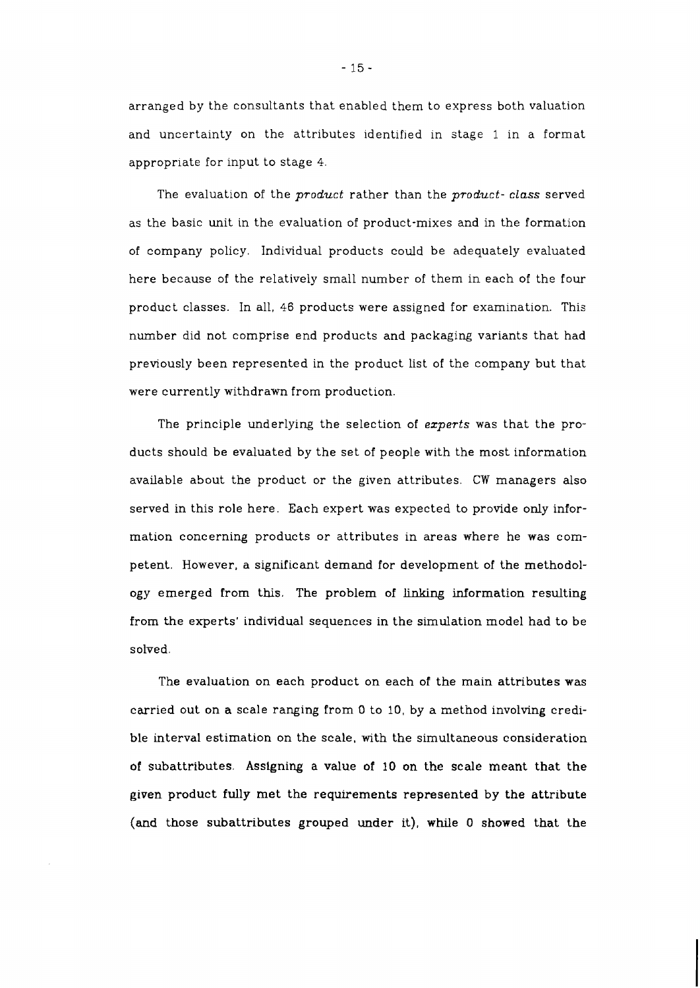arranged by the consultants that enabled them to express both valuation and uncertainty on the attributes identifjed in stage 1 in a format appropriate for input to stage 4.

The evaluation of the *product* rather than the *product- class* served as the basic unit in the evaluation of product-mixes and in the formation of company policy. Individual products could be adequately evaluated here because of the relatively small number of them in each of the four product classes. In all, 46 products were assigned for examination. This number did not comprise end products and packaging variants that had previously been represented in the product list of the company but that were currently withdrawn from production.

The principle underlying the selection of *ezperts* was that the products should be evaluated by the set of people with the most information available about the product or the given attributes. CW managers also served in this role here. Each expert was expected to provide only information concerning products or attributes in areas where he was competent. However, a significant demand for development of the methodology emerged from this. The problem of **linking** information resulting from the experts' individual sequences in the simulation model had to be solved.

The evaluation on each product on each of the main attributes was carried out on a scale ranging from **0** to 10, by a method involving credible interval estimation on the scale, with the simultaneous consideration of subattributes. Assigning a value of 10 on the scale meant that the given product fully met the requirements represented by the attribute (and those subattributes grouped under it), while **0** showed that the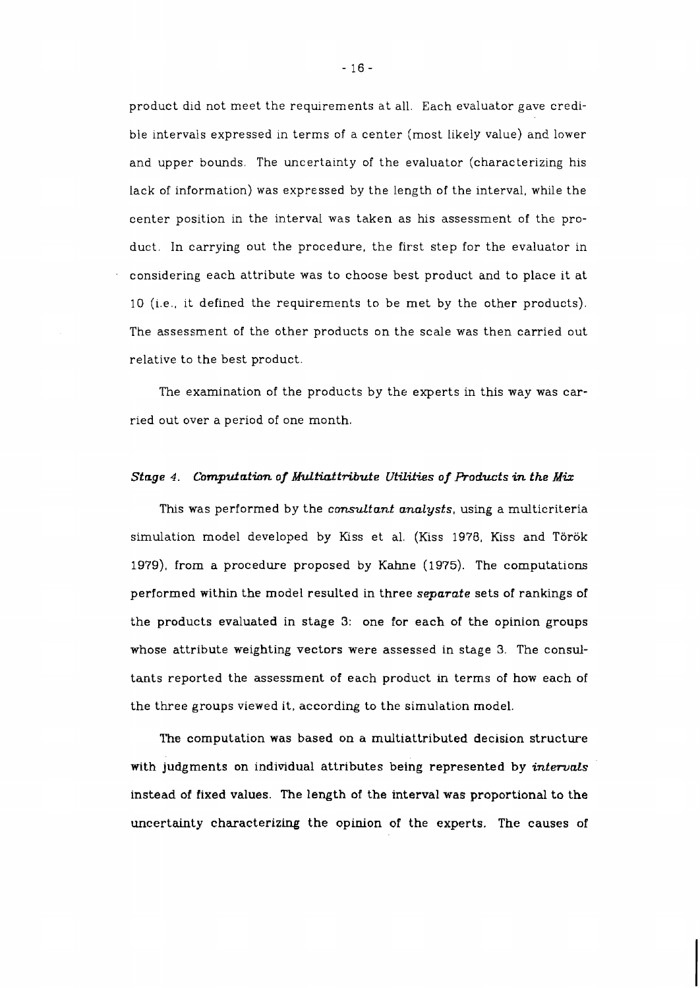product did not meet the requirements at all. Each evaluator gave credible intervals expressed in terms of a center (most likely value) and lower and upper bounds. The uncertainty of the evaluator (characterizing his lack of information) was expressed by the length of the interval, while the center position in the interval was taken as his assessment of the product. In carrying out the procedure, the first step for the evaluator in considering each attribute was to choose best product and to place it at 10 (i.e., it defined the requirements to be met by the other products). The assessment of the other products on the scale was then carried out relative to the best product.

The examination of the products by the experts in this way was carried out over a period of one month.

#### *Stage 4. Computation* **of** *Mdtiattribute Utilities* **of** *Products in* **the** *Mu*

This was performed by the *consultant analysts*, using a multicriteria simulation model developed by Kiss et al. (Kiss 1978, Kiss and Török 1979), from a procedure proposed by Kahne (1975). The computations performed within the model resulted in three *separate* sets of rankings of the products evaluated in stage 3: one for each of the opinion groups whose attribute weighting vectors were assessed in stage 3. The consultants reported the assessment of each product in terms of how each of the three groups viewed it, according to the simulation model.

The computation was based on a multiattributed decision structure with judgments on individual attributes being represented by *intervals* instead of fixed values. The length of the interval **was** proportional to the uncertainty characterizing the opinion of the experts. The causes of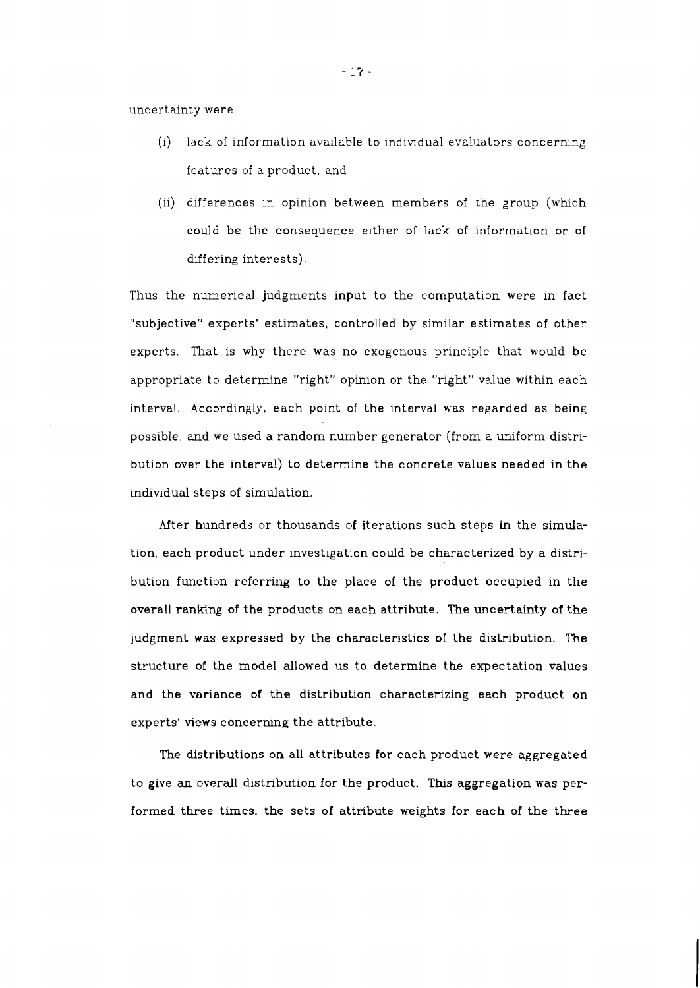uncertainty were

- $(i)$  lack of information available to individual evaluators concerning features of a product, and
- (ii) differences in opinion between members of the group (which could be the consequence either of lack of information or of differing interests).

Thus the numerical judgments input to the computation were in fact "subjective" experts' estimates, controlled by similar estimates of other experts. That is why there was no exogenous principle that would be appropriate to determine "right" opinion or the "right" value within each interval. Accordingly, each point of the interval was regarded as being possible, and we used a random number generator (from a uniform distribution over the interval) to determine the concrete values needed in the individual steps of simulation.

After hundreds or thousands of iterations such steps in the simulation, each product under investigation could be characterized by a distribution function referring to the place of the product occupied in the overall ranking of the products on each attribute. The uncertainty of the judgment was expressed by the characteristics of the distribution. The structure of the model allowed us to determine the expectation values and the variance of the distribution characterizing each product on experts' views concerning the attribute.

The distributions on all attributes for each product were aggregated to give an overall distribution for the product. This aggregation was performed three times, the sets of attribute weights for each of the three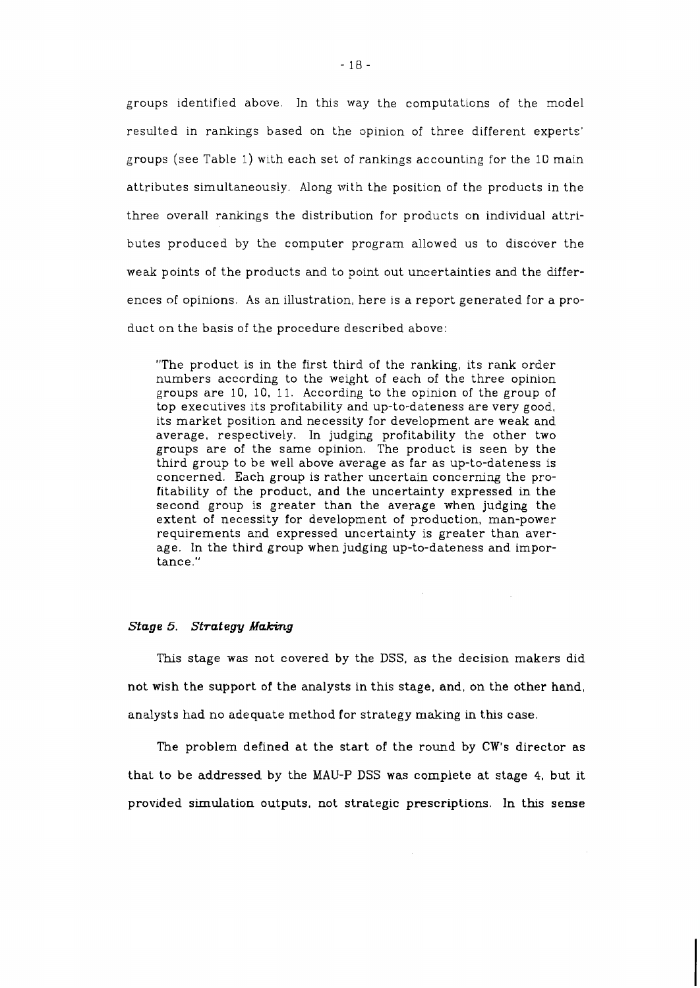groups identified above. In this way the computations of the model resulted in rankings based on the opinion of three different experts' groups (see Table 1) with each set of rankings accounting for the 10 main attributes simultaneously. Along with the position of the products in the three overall rankings the distribution for products on individual attributes produced by the computer program allowed us to discover the weak points of the products and to point out uncertainties and the differences of opinions. As an illustration, here is a report generated for a product on the basis of the procedure described above:

"The product is in the first third of the ranking, its rank order numbers according to the weight of each of the three opinion groups are 10, 10, 11. According to the opinion of the group of top executives its profitability and up-to-dateness are very good, its market position and necessity for development are weak and average, respectively. In judging profitability the other two groups are of the same opinion. The product is seen by the third group to be well above average as far as up-to-dateness is concerned. Each group is rather uncertain concerning the profitability of the product, and the uncertainty expressed in the second group is greater than the average when judging the extent of necessity for development of production, man-power requirements and expressed uncertainty is greater than average. In the third group when judging up-to-dateness and importance."

### *Stage 5. Strategy Making*

This stage was not covered by the DSS, as the decision makers did not wish the support of the analysts in this stage, and, on the other hand, analysts had no adequate method for strategy making in ths case.

The problem defined at the start of the round by CW's director as that to be addressed by the **MAU-P** DSS was complete at stage 4, but it provided simulation outputs, not strategic prescriptions. In this sense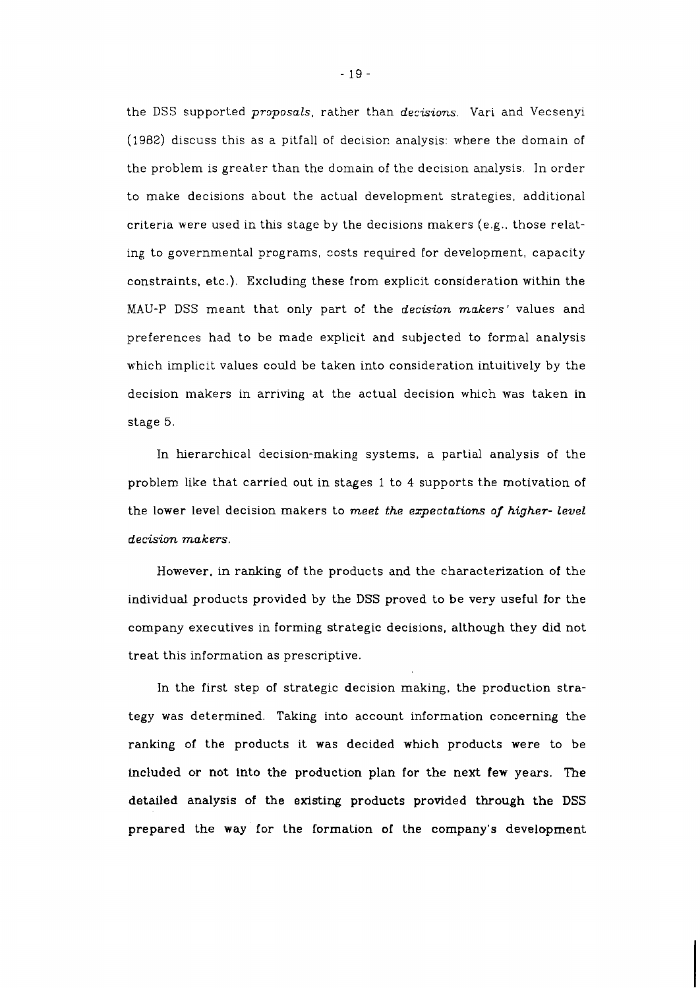the DSS supported *proposals,* rather than *decisions.* Vari and Vecsenyi (1982) discuss this as a pitfall of decisior, analysis: where the domain of the problem is greater than the domain of the decision analysis. In order to make decisions about the actual development strategies, additional criteria were used in this stage by the decisions makers (e.g., those relating to governmental programs, costs required for development, capacity constraints, etc.). Excluding these from explicit consideration withn the MAU-P DSS meant that only part of the *decision makers'* values and preferences had to be made explicit and subjected to formal analysis which implicit values could be taken into consideration intuitively by the decision makers in arriving at the actual decision which was taken in stage *5.* 

In hierarchical decision-making systems, a partial analysis of the problem like that carried out in stages 1 to 4 supports the motivation of the lower level decision makers to *meet the expectations of higher- level decision makers.* 

However, in ranking of the products and the characterization of the individual products provided by the **DSS** proved to be very useful for the company executives in forming strategic decisions, although they did not treat this information as prescriptive.

In the first step of strategic decision making, the production strategy was determined. Taking into account information concerning the ranking of the products it was decided whch products were to be included or not into the production plan for the next few years. The detailed analysis of the existing products provided through the DSS prepared the way for the formation of the company's development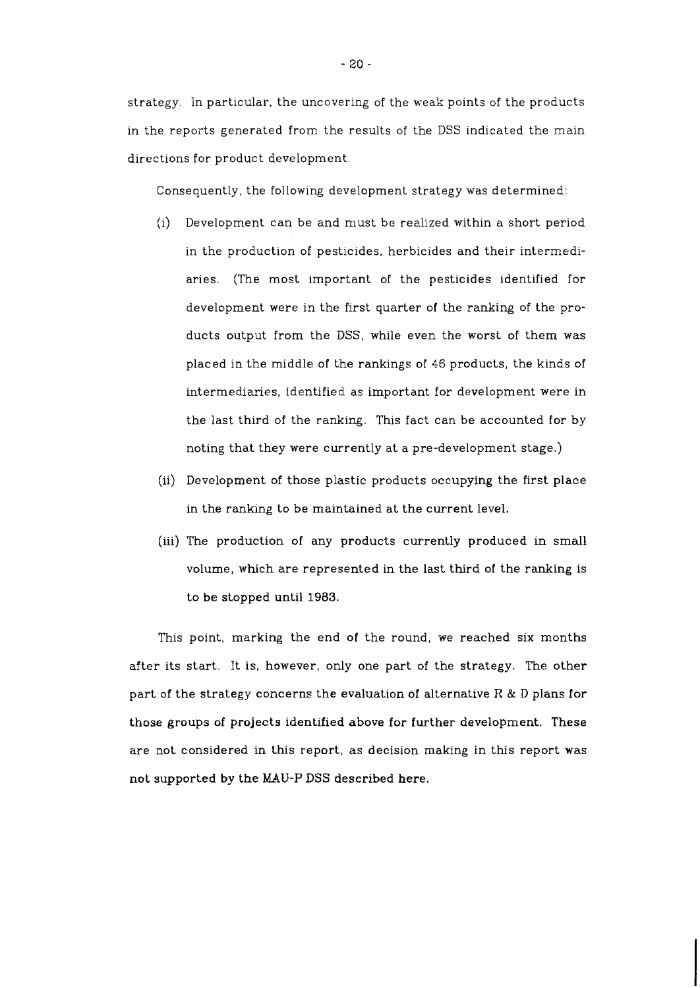strategy. In particular, the uncovering of the weak points of the products in the reports generated from the results of the DSS indicated the main directions for product development.

Consequently, the following development strategy was determined:

- (i) Development can be and must be realized within a short period in the production of pesticides, herbicides and their intermediaries. (The most important of the pesticides identified for development were in the first quarter of the ranking of the products output from the DSS, while even the worst of them was placed in the middle of the rankings of 46 products, the kinds of intermediaries, identified as important for development were in the last third of the ranking. This fact can be accounted for by noting that they were currently at a pre-development stage.)
- (ii) Development of those plastic products occupying the first place in the ranking to be maintained at the current level.
- (iii) The production of any products currently produced in small volume, which are represented in the last third of the ranking is to be stopped until 1983.

This point, marking the end of the round, we reached six months after its start. It is, however, only one part of the strategy. The other part of the strategy concerns the evaluation of alternative R & D plans for those groups of projects identified above for further development. These are not considered in this report, as decision making in this report was not supported by the **MAU-P** DSS described here.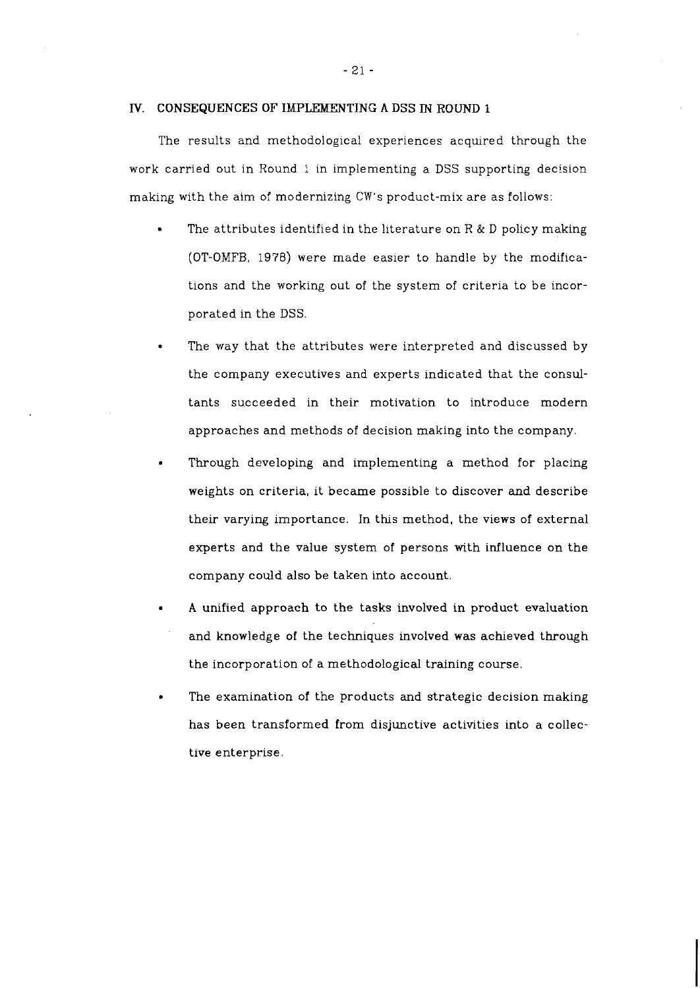## **IV. CONSEQUENCES OF IMPLEMENTING A DSS IN ROUND 1**

The results and methodological experiences acquired through the work carried out in Round 1 in implementing a DSS supporting decision making with the aim of modernizing CW's product-mix are as follows:

- The attributes identified in the literature on R & D policy making (OT-OMFB, 1978) were made easier to handle by the modifications and the working out of the system of criteria to be incorporated in the DSS.
- The way that the attributes were interpreted and discussed by the company executives and experts indicated that the consultants succeeded in their motivation to introduce modern approaches and methods of decision making into the company.
- Through developing and implementing a method for placing weights on criteria, it became possible to discover and describe their varying importance. In this method, the views of external experts and the value system of persons with influence on the company could also be taken into account.
- **A** unified approach to the tasks involved in product evaluation and knowledge of the techniques involved was achieved through the incorporation of a methodological training course.
- The examination of the products and strategic decision making has been transformed from disjunctive activities into a collective enterprise.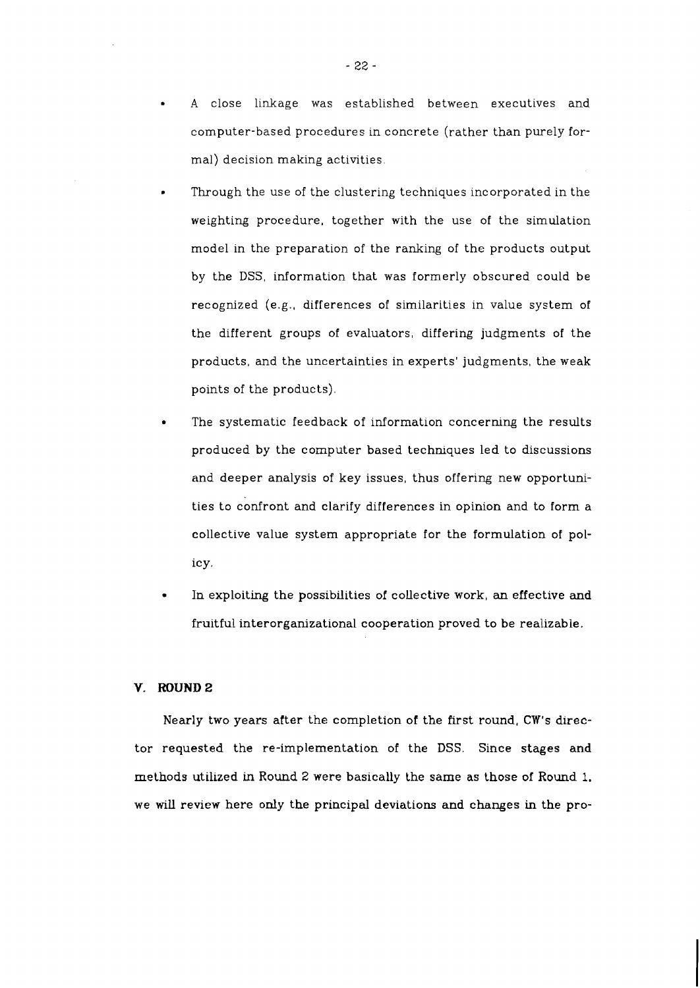- **A** close linkage was established between executives and computer-based procedures in concrete (rather than purely formal) decision making activities.
- Through the use of the clustering techniques incorporated in the weighting procedure, together with the use of the simulation model in the preparation of the ranking of the products output by the DSS, information that was formerly obscured could be recognized (e.g., differences of similarities in value system of the different groups of evaluators, differing judgments of the products, and the uncertainties in experts' judgments, the weak points of the products).
- The systematic feedback of information concerning the results produced by the computer based techniques led to discussions and deeper analysis of key issues, thus offering new opportunities to confront and clarify differences in opinion and to form a collective value system appropriate for the formulation of policy.
- In exploiting the possibilities of collective work, an effective and fruitful interorganizational cooperation proved to be realizable.

## **V. ROUND 2**

Nearly two years after the completion of the first round, **CW's** director requested the re-implementation of the DSS. Since stages and methods utilized in Round 2 were basically the same as those of Round 1. we **will** review here only the principal deviations and changes in the pro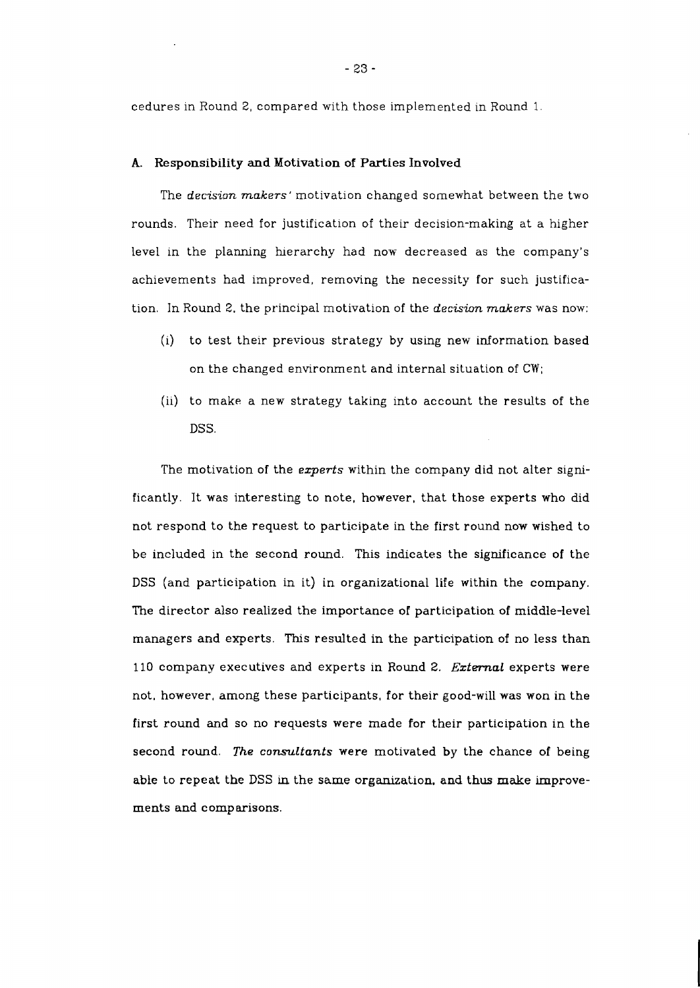cedures in Round 2, compared with those implemented in Round 1

### **A.** Responsibility and Motivation of Parties Involved

The *decision makers'* motivation changed somewhat between the two rounds. Their need for justification of their decision-making at a higher level in the planning hierarchy had now decreased as the company's achievements had improved, removing the necessity for such justification. In Round 2, the principal motivation of the *decision makers* was now:

- (i) to test their previous strategy by using new information based on the changed environment and internal situation of CW;
- (ii) to make a new strategy taking into account the results of the DSS.

The motivation of the *ezperts* within the company did not alter significantly. It was interesting to note, however, that those experts who did not respond to the request to participate in the first round now wished to be included in the second round. This indicates the significance of the DSS (and participation in it) in organizational life within the company. The director also realized the importance of participation of middle-level managers and experts. This resulted in the participation of no less than 110 company executives and experts in Round 2. *Eztmal* experts were not, however, among these participants, for their good-will was won in the first round and so no requests were made for their participation in the second round. The consultants were motivated by the chance of being able to repeat the DSS m the same organization. and thus make improvements and comparisons.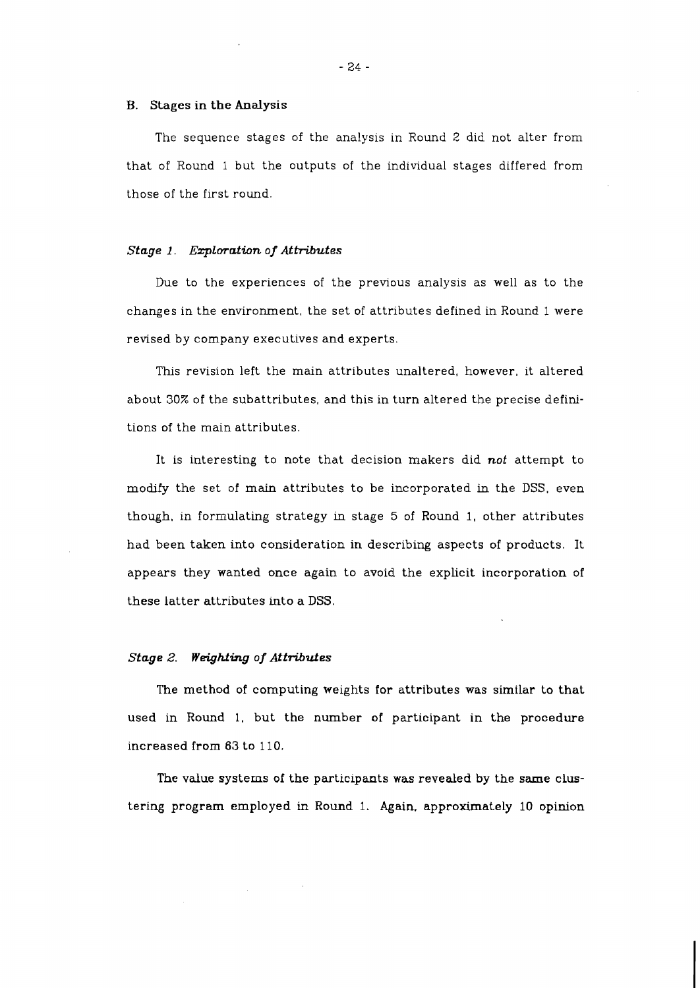#### B. Stages in the Analysis

The sequence stages of the analysis in Round **2** did not alter from that of Round 1 but the outputs of the individual stages differed from those of the first round.

## *Stage 1. Ezplmation of Attributes*

Due to the experiences of the previous analysis as well as to the changes in the environment, the set of attributes defined in Round 1 were revised by company executives and experts.

This revision left the main attributes unaltered, however, it altered about 30% of the subattributes, and this in turn altered the precise definitions of the main attributes.

It is interesting to note that decision makers did *not* attempt to modify the set of main attributes to be incorporated in the DSS, even though, in formulating strategy in stage 5 of Round 1, other attributes had been taken into consideration in describing aspects of products. It appears they wanted once again to avoid the explicit incorporation of these latter attributes into a DSS.

#### *Stage 2. Weighting of Attributes*

The method of computing weights for attributes **was** similar to that used in Round 1, but the number of participant in the procedure increased from 63 to 110.

**The value** systems of the participants was revealed by the **same** clustering program employed in Round 1. Again. approximately 10 opinion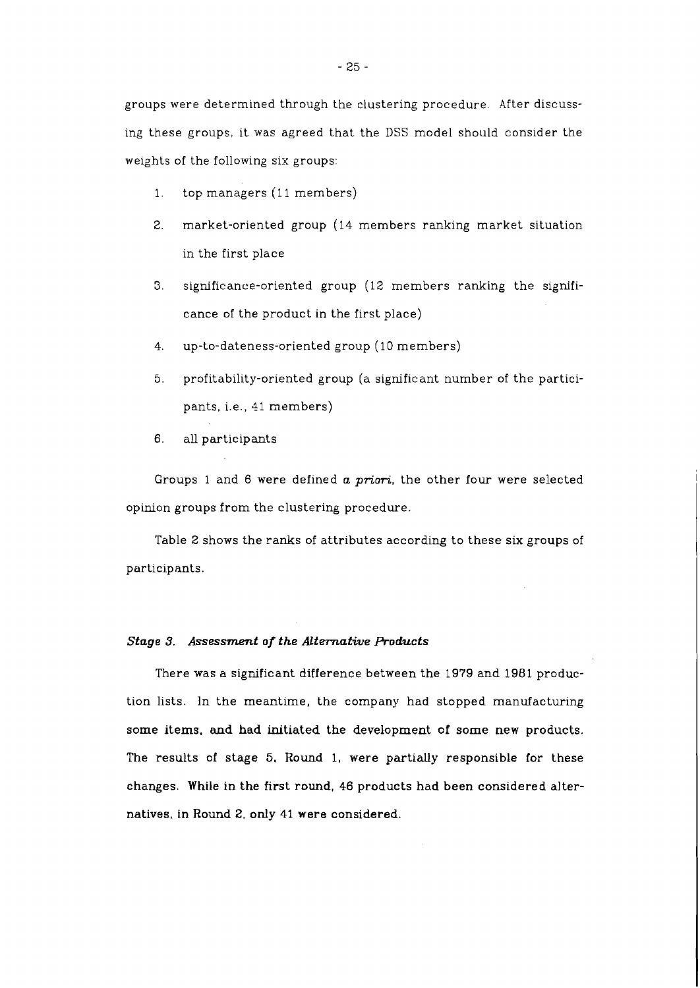groups were determined through the clustering procedure. After discussing these groups, it was agreed that the DSS model should consider the weights of the following six groups:

- 1. top managers (11 members)
- 2. market-oriented group (14 members ranking market situation in the first place
- **3.** significance-oriented group (12 members ranking the significance of the product in the first place)
- 4. up-to-dateness-oriented group (10 members)
- *5,* profitability-oriented group (a significant number of the participants, i.e., 41 members)
- 6. all participants

Groups 1 and 6 were defined a *priori,* the other four were selected opinion groups from the clustering procedure.

Table 2 shows the ranks of attributes according to these six groups of participants.

## *Stage 3. Assessment* **of** *the Alternative Froducts*

There was a significant difference between the 1979 and 1981 production lists. In the meantime, the company had stopped manufacturing some items, and had initiated the development of some new products. The results of stage *5.* Round 1, were partially responsible for these changes. While in the first round, 46 products had been considered alternatives, in Round 2, only 41 were considered.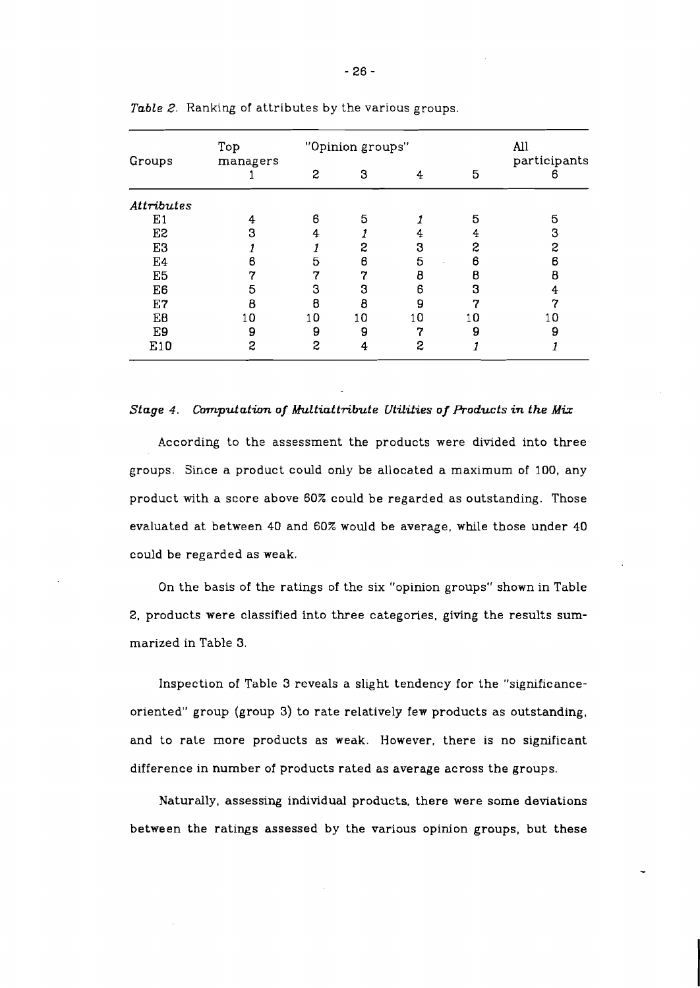|                | Top<br>managers | "Opinion groups" |    |    |    | All               |  |
|----------------|-----------------|------------------|----|----|----|-------------------|--|
| Groups         |                 | 2                | 3  | 4  | 5  | participants<br>6 |  |
| Attributes     |                 |                  |    |    |    |                   |  |
| E1             | 4               | 6                | 5  |    | 5  | 5                 |  |
| E2             | 3               | 4                |    | 4  | 4  | 3                 |  |
| E <sub>3</sub> |                 |                  | 2  | З  | 2  | 2                 |  |
| E4             | 6               | 5                | 6  | 5  | 6  | 6                 |  |
| E <sub>5</sub> | r               | 7                | 7  | 8  | 8  | 8                 |  |
| E6             | 5               | 3                | 3  | 6  | 3  | 4                 |  |
| E7             | B               | 8                | 8  | 9  |    |                   |  |
| E8             | 10              | 10               | 10 | 10 | 10 | 10                |  |
| E9             | 9               | 9                | 9  | 7  | 9  | 9                 |  |
| E10            | 2               | S                | 4  | S. |    |                   |  |

Table 2. Ranking of attributes by the various groups.

### *Stage 4. Computation of Multiattribute Utilities of Products in the Mix*

According to the assessment the products were divided into three groups. Since a product could only be allocated a maximum of 100, any product with a score above 60% could be regarded as outstanding. Those evaluated at between 40 and 60% would be average, whle those under **40**  could be regarded as weak.

On the basis of the ratings of the six "opinion groups" shown in Table 2, products were classified into three categories, giving the results summarized in Table **3.** 

Inspection of Table **3** reveals a slight tendency for the "significanceoriented" group (group **3)** to rate relatively few products as outstanding, and to rate more products as weak. However, there is no significant difference in number of products rated as average across the groups.

Naturally, assessing individual products, there were some deviations between the ratings assessed by the various opinion groups, but these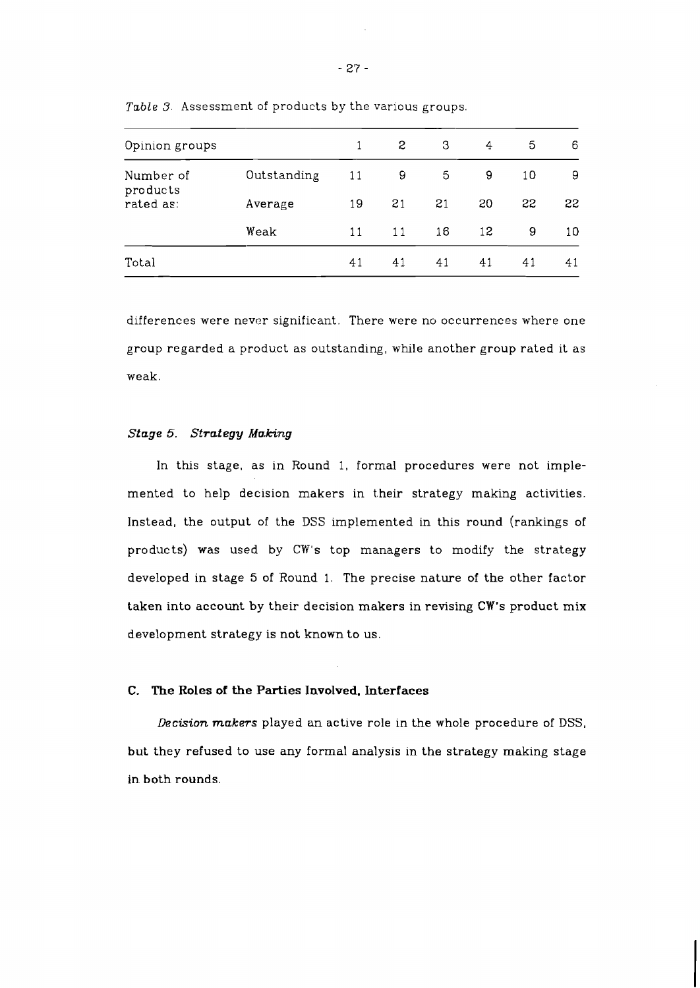| Opinion groups        |             |    | $\mathbf{2}$ | 3  | 4  | 5  | 6  |
|-----------------------|-------------|----|--------------|----|----|----|----|
| Number of<br>products | Outstanding | 11 | 9            | 5. | 9  | 10 | 9  |
| rated as:             | Average     | 19 | 21           | 21 | 20 | 55 | 22 |
|                       | Weak        | 11 | 11           | 16 | 12 | 9  | 10 |
| Total                 |             | 41 | 41           | 41 | 41 | 41 | 41 |

Table 3. Assessment of products by the various groups.

differences were never significant. There were no occurrences where one group regarded a product as outstanding, while another group rated it as weak.

## *Stage* 5. *Straf egy Mu.king*

In this stage, as in Round 1, formal procedures were not implemented to help decision makers in their strategy making activities. Instead, the output of the DSS implemented in this round (rankings of products) was used by CW's top managers to modify the strategy developed in stage *5* of Round 1. The precise nature of the other factor taken into account by their decision makers in revising CW's product mix development strategy is not known to us.

# **C. The Roles of the Parties Involved. Interfaces**

**Decision** *makers* played an active role in the whole procedure of DSS, but they refused to use any formal analysis in the strategy making stage in. both rounds.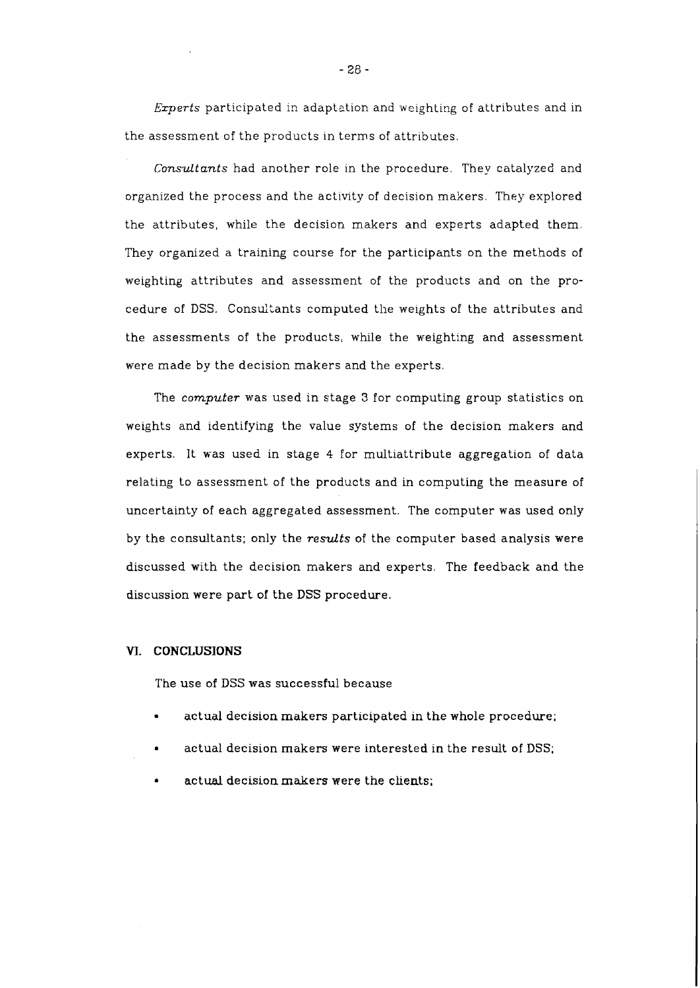*Experts* participated in adaptation and weighting of attributes and in the assessment of the products in terms of attributes.

*Consultants* had another role in the procedure. They catalyzed and organized the process and the activity of decision makers. They explored the attributes, while the decision makers and experts adapted them. They organized a training course for the participants on the methods of weighting attributes and assessment of the products and on the procedure of DSS. Consultants computed the weights of the attributes and the assessments of the products, whle the weighting and assessment were made by the decision makers and the experts.

The *computer* was used in stage 3 for computing group statistics on weights and identifying the value systems of the decision makers and experts. It was used in stage 4 for multiattribute aggregation of data relating to assessment of the products and in computing the measure of uncertainty of each aggregated assessment. The computer was used only by the consultants; only the *results* of the computer based analysis were discussed with the decision makers and experts. The feedback and the discussion were part of the **DSS** procedure.

#### **VI. CONCLUSIONS**

The use of DSS was successful because

- actual decision makers participated in the whole procedure;
- actual decision makers were interested in the result of **DSS;**
- actual decision makers were the clients;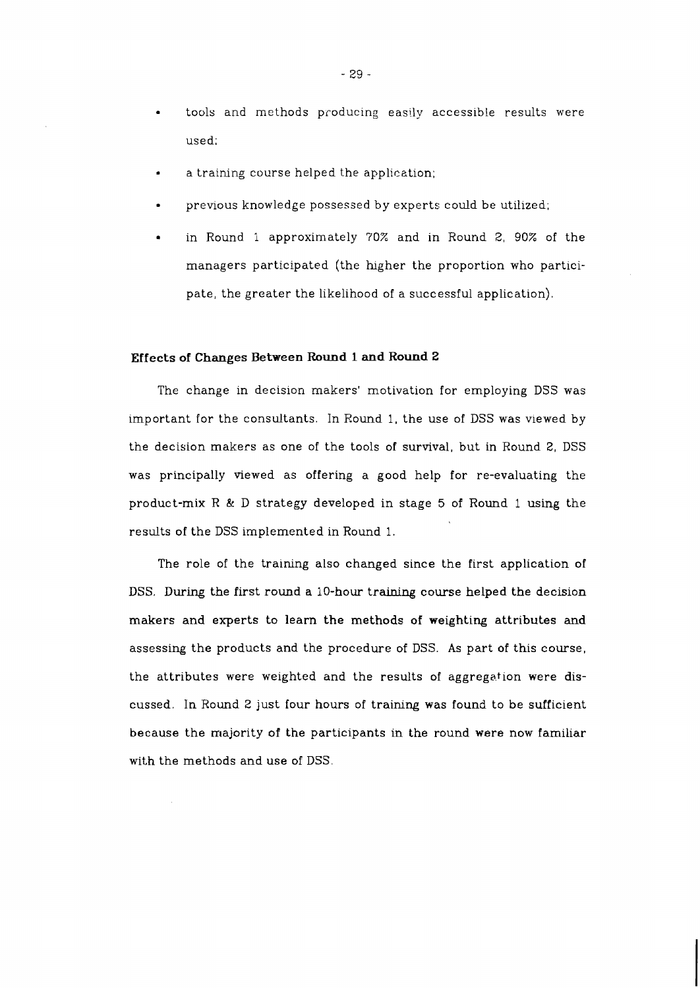- tools and methods producing easily accessible results were used;
- a training course helped the application;
- previous knowledge possessed by experts could be utilized;
- in Round 1 approximately 70% and in Round 2, 90% of the managers participated (the higher the proportion who participate, the greater the likelihood of a successful application).

## **Effects of Changes Between Round 1 and Round 2**

The change in decision makers' motivation for employing DSS was important for the consultants. In Round 1, the use of DSS was viewed by the decision makers as one of the tools of survival, but in Round 2, DSS was principally viewed as offering a good help for re-evaluating the product-mix R & D strategy developed in stage *5* of Round 1 using the results of the DSS implemented in Round 1.

The role of the training also changed since the first application of DSS. During the first round a 10-hour training course helped the decision makers and experts to learn the methods of weighting attributes and assessing the products and the procedure of DSS. As part of this course, the attributes were weighted and the results of aggregation were discussed. In Round 2 just four hours of training was found to be sufficient because the majority of the participants in the round were now familiar with the methods and use of DSS.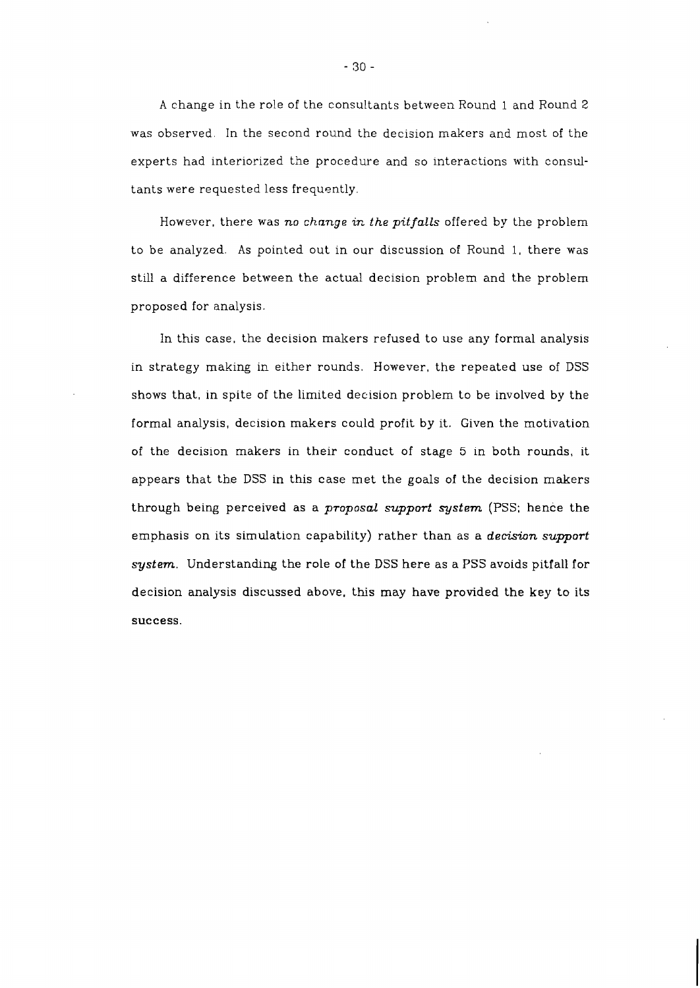A change in the role of the consultants between Round 1 and Round **2**  was observed. In the second round the decision makers and most of the experts had interiorized the procedure and so interactions with consultants were requested less frequently.

However, there was no *change in the pitfalls* offered by the problem to be analyzed. As pointed out in our discussion of Round 1, there was still a difference between the actual decision problem and the problem proposed for analysis.

In this case, the decision makers refused to use any formal analysis in strategy making in either rounds. However, the repeated use of DSS shows that, in spite of the limited decision problem to be involved by the formal analysis, decision makers could profit by it. Given the motivation of the decision makers in their conduct of stage *5* in both rounds, it appears that the DSS in this case met the goals of the decision makers through being perceived as a *proposal support system* (PSS; hence the emphasis on its simulation capability) rather than as a *decision support system.* Understanding the role of the DSS here as a PSS avoids pitfall for decision analysis discussed above, this may have provided the key to its success.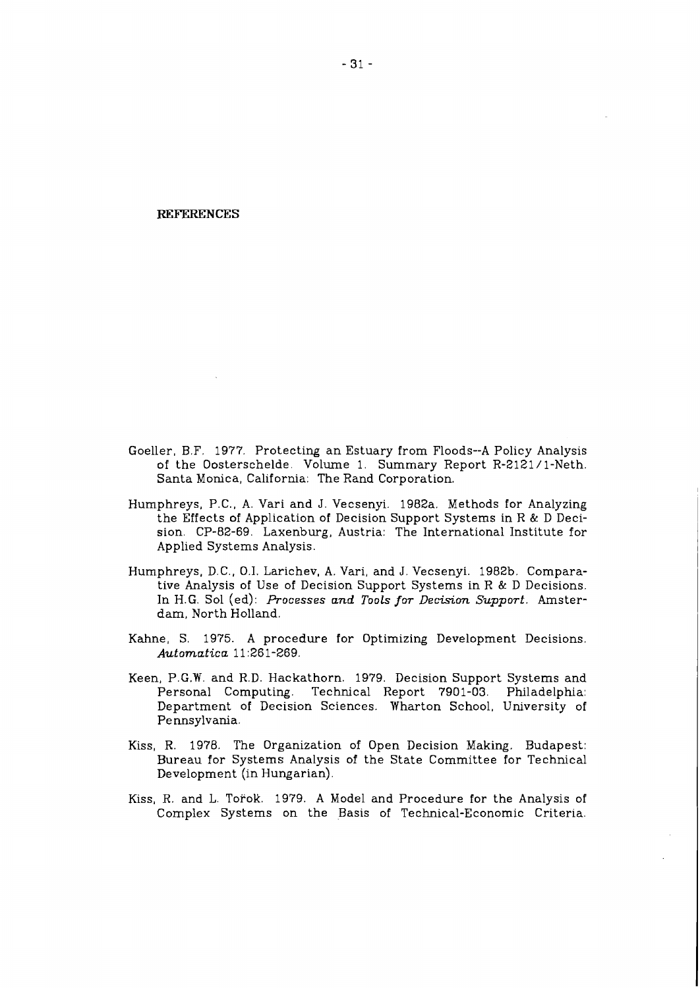**REFERENCES** 

- Goeller, B.F. 1977. Protecting an Estuary from Floods--A Policy Analysis of the Oosterschelde. Volume 1. Summary Report R-2121/ 1-Neth. Santa Monica, California: The Rand Corporation.
- Humphreys, P.C., A. Vari and J. Vecsenyi. 1982a. Methods for Analyzing the Effects of Application of Decision Support Systems in R & D Decision. CP-82-69. Laxenburg, Austria: The International Institute for Applied Systems Analysis.
- Humphreys, D.C., 0.1. Larichev, A. Vari, and J. Vecsenyi. 1982b. Comparative Analysis of Use of Decision Support Systems in R & D Decisions. In H.G. Sol (ed): *Frocesses and Tools for Decision Support.* Amsterdam, North Holland.
- Kahne, S. 1975. A procedure for Optimizing Development Decisions. *Automatica* 11 :26 1-269.
- Keen, P.G.W. and R.D. Hackathorn. 1979. Decision Support Systems and Personal Computing. Technical Report 7901-03. Phladelphia: Department of Decision Sciences. Wharton School, University of Pennsylvania.
- Kiss, R. 1978. The Organization of Open Decision Making. Budapest: Bureau for Systems Analysis of the State Committee for Technical Development (in Hungarian).
- Kiss, R. and L. Torok. 1979. A Model and Procedure for the Analysis of Complex Systems on the Basis of Technical-Economic Criteria.